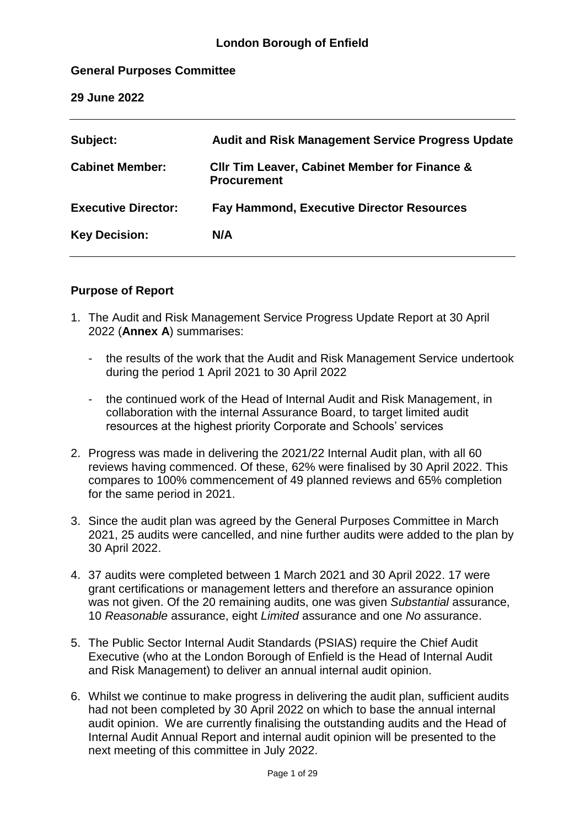#### **General Purposes Committee**

**29 June 2022**

| Subject:                   | <b>Audit and Risk Management Service Progress Update</b>                       |
|----------------------------|--------------------------------------------------------------------------------|
| <b>Cabinet Member:</b>     | <b>CIIr Tim Leaver, Cabinet Member for Finance &amp;</b><br><b>Procurement</b> |
| <b>Executive Director:</b> | <b>Fay Hammond, Executive Director Resources</b>                               |
| <b>Key Decision:</b>       | N/A                                                                            |
|                            |                                                                                |

#### **Purpose of Report**

- 1. The Audit and Risk Management Service Progress Update Report at 30 April 2022 (**Annex A**) summarises:
	- the results of the work that the Audit and Risk Management Service undertook during the period 1 April 2021 to 30 April 2022
	- the continued work of the Head of Internal Audit and Risk Management, in collaboration with the internal Assurance Board, to target limited audit resources at the highest priority Corporate and Schools' services
- 2. Progress was made in delivering the 2021/22 Internal Audit plan, with all 60 reviews having commenced. Of these, 62% were finalised by 30 April 2022. This compares to 100% commencement of 49 planned reviews and 65% completion for the same period in 2021.
- 3. Since the audit plan was agreed by the General Purposes Committee in March 2021, 25 audits were cancelled, and nine further audits were added to the plan by 30 April 2022.
- 4. 37 audits were completed between 1 March 2021 and 30 April 2022. 17 were grant certifications or management letters and therefore an assurance opinion was not given. Of the 20 remaining audits, one was given *Substantial* assurance, 10 *Reasonable* assurance, eight *Limited* assurance and one *No* assurance.
- 5. The Public Sector Internal Audit Standards (PSIAS) require the Chief Audit Executive (who at the London Borough of Enfield is the Head of Internal Audit and Risk Management) to deliver an annual internal audit opinion.
- 6. Whilst we continue to make progress in delivering the audit plan, sufficient audits had not been completed by 30 April 2022 on which to base the annual internal audit opinion. We are currently finalising the outstanding audits and the Head of Internal Audit Annual Report and internal audit opinion will be presented to the next meeting of this committee in July 2022.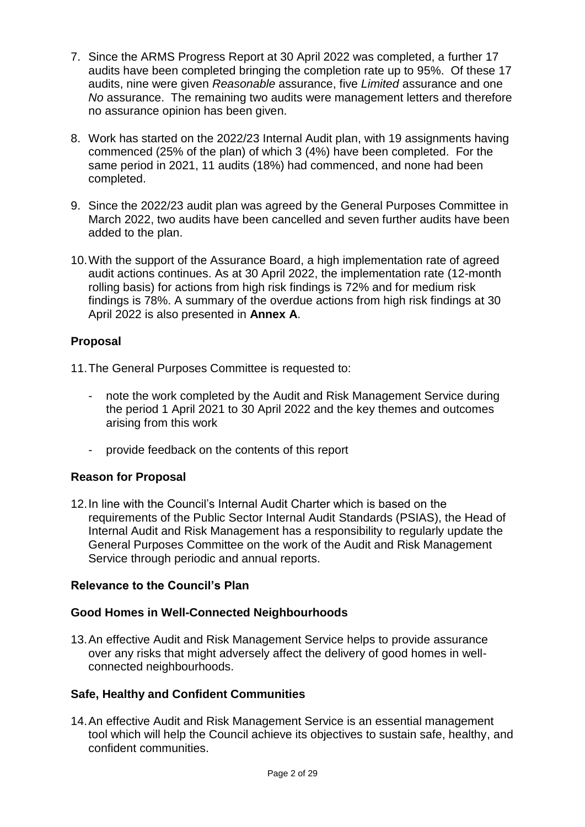- 7. Since the ARMS Progress Report at 30 April 2022 was completed, a further 17 audits have been completed bringing the completion rate up to 95%. Of these 17 audits, nine were given *Reasonable* assurance, five *Limited* assurance and one *No* assurance. The remaining two audits were management letters and therefore no assurance opinion has been given.
- 8. Work has started on the 2022/23 Internal Audit plan, with 19 assignments having commenced (25% of the plan) of which 3 (4%) have been completed. For the same period in 2021, 11 audits (18%) had commenced, and none had been completed.
- 9. Since the 2022/23 audit plan was agreed by the General Purposes Committee in March 2022, two audits have been cancelled and seven further audits have been added to the plan.
- 10.With the support of the Assurance Board, a high implementation rate of agreed audit actions continues. As at 30 April 2022, the implementation rate (12-month rolling basis) for actions from high risk findings is 72% and for medium risk findings is 78%. A summary of the overdue actions from high risk findings at 30 April 2022 is also presented in **Annex A**.

# **Proposal**

- 11.The General Purposes Committee is requested to:
	- note the work completed by the Audit and Risk Management Service during the period 1 April 2021 to 30 April 2022 and the key themes and outcomes arising from this work
	- provide feedback on the contents of this report

# **Reason for Proposal**

12.In line with the Council's Internal Audit Charter which is based on the requirements of the Public Sector Internal Audit Standards (PSIAS), the Head of Internal Audit and Risk Management has a responsibility to regularly update the General Purposes Committee on the work of the Audit and Risk Management Service through periodic and annual reports.

# **Relevance to the Council's Plan**

# **Good Homes in Well-Connected Neighbourhoods**

13.An effective Audit and Risk Management Service helps to provide assurance over any risks that might adversely affect the delivery of good homes in wellconnected neighbourhoods.

# **Safe, Healthy and Confident Communities**

14.An effective Audit and Risk Management Service is an essential management tool which will help the Council achieve its objectives to sustain safe, healthy, and confident communities.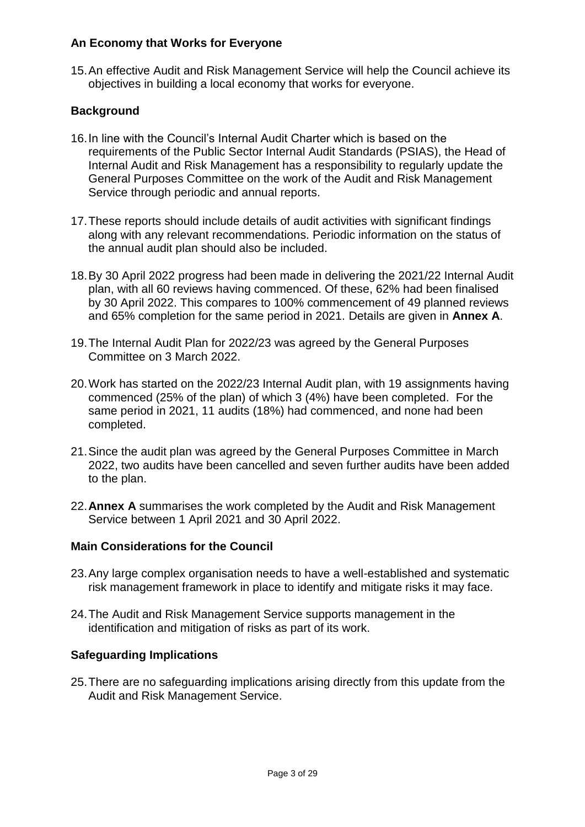# **An Economy that Works for Everyone**

15.An effective Audit and Risk Management Service will help the Council achieve its objectives in building a local economy that works for everyone.

## **Background**

- 16.In line with the Council's Internal Audit Charter which is based on the requirements of the Public Sector Internal Audit Standards (PSIAS), the Head of Internal Audit and Risk Management has a responsibility to regularly update the General Purposes Committee on the work of the Audit and Risk Management Service through periodic and annual reports.
- 17.These reports should include details of audit activities with significant findings along with any relevant recommendations. Periodic information on the status of the annual audit plan should also be included.
- 18.By 30 April 2022 progress had been made in delivering the 2021/22 Internal Audit plan, with all 60 reviews having commenced. Of these, 62% had been finalised by 30 April 2022. This compares to 100% commencement of 49 planned reviews and 65% completion for the same period in 2021. Details are given in **Annex A**.
- 19.The Internal Audit Plan for 2022/23 was agreed by the General Purposes Committee on 3 March 2022.
- 20.Work has started on the 2022/23 Internal Audit plan, with 19 assignments having commenced (25% of the plan) of which 3 (4%) have been completed. For the same period in 2021, 11 audits (18%) had commenced, and none had been completed.
- 21.Since the audit plan was agreed by the General Purposes Committee in March 2022, two audits have been cancelled and seven further audits have been added to the plan.
- 22.**Annex A** summarises the work completed by the Audit and Risk Management Service between 1 April 2021 and 30 April 2022.

#### **Main Considerations for the Council**

- 23.Any large complex organisation needs to have a well-established and systematic risk management framework in place to identify and mitigate risks it may face.
- 24.The Audit and Risk Management Service supports management in the identification and mitigation of risks as part of its work.

#### **Safeguarding Implications**

25.There are no safeguarding implications arising directly from this update from the Audit and Risk Management Service.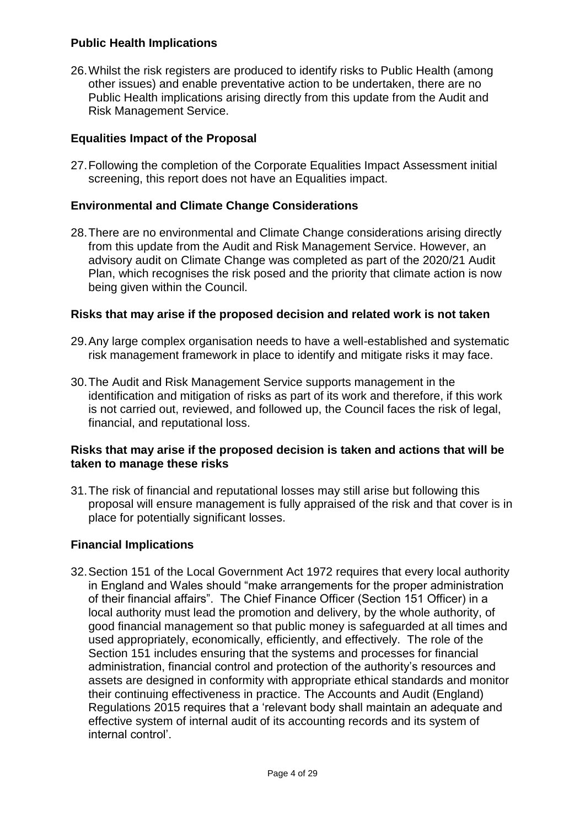### **Public Health Implications**

26.Whilst the risk registers are produced to identify risks to Public Health (among other issues) and enable preventative action to be undertaken, there are no Public Health implications arising directly from this update from the Audit and Risk Management Service.

#### **Equalities Impact of the Proposal**

27.Following the completion of the Corporate Equalities Impact Assessment initial screening, this report does not have an Equalities impact.

#### **Environmental and Climate Change Considerations**

28.There are no environmental and Climate Change considerations arising directly from this update from the Audit and Risk Management Service. However, an advisory audit on Climate Change was completed as part of the 2020/21 Audit Plan, which recognises the risk posed and the priority that climate action is now being given within the Council.

#### **Risks that may arise if the proposed decision and related work is not taken**

- 29.Any large complex organisation needs to have a well-established and systematic risk management framework in place to identify and mitigate risks it may face.
- 30.The Audit and Risk Management Service supports management in the identification and mitigation of risks as part of its work and therefore, if this work is not carried out, reviewed, and followed up, the Council faces the risk of legal, financial, and reputational loss.

#### **Risks that may arise if the proposed decision is taken and actions that will be taken to manage these risks**

31.The risk of financial and reputational losses may still arise but following this proposal will ensure management is fully appraised of the risk and that cover is in place for potentially significant losses.

#### **Financial Implications**

32.Section 151 of the Local Government Act 1972 requires that every local authority in England and Wales should "make arrangements for the proper administration of their financial affairs". The Chief Finance Officer (Section 151 Officer) in a local authority must lead the promotion and delivery, by the whole authority, of good financial management so that public money is safeguarded at all times and used appropriately, economically, efficiently, and effectively. The role of the Section 151 includes ensuring that the systems and processes for financial administration, financial control and protection of the authority's resources and assets are designed in conformity with appropriate ethical standards and monitor their continuing effectiveness in practice. The Accounts and Audit (England) Regulations 2015 requires that a 'relevant body shall maintain an adequate and effective system of internal audit of its accounting records and its system of internal control'.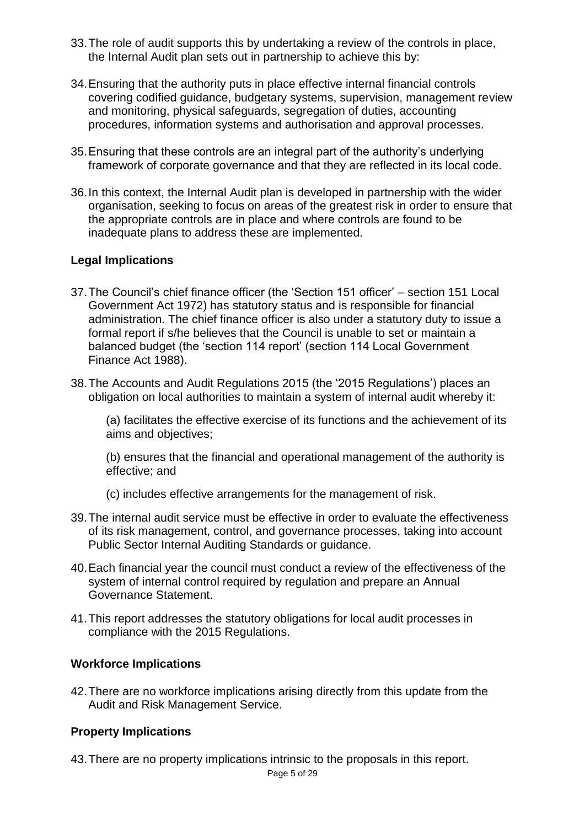- 33.The role of audit supports this by undertaking a review of the controls in place, the Internal Audit plan sets out in partnership to achieve this by:
- 34.Ensuring that the authority puts in place effective internal financial controls covering codified guidance, budgetary systems, supervision, management review and monitoring, physical safeguards, segregation of duties, accounting procedures, information systems and authorisation and approval processes.
- 35.Ensuring that these controls are an integral part of the authority's underlying framework of corporate governance and that they are reflected in its local code.
- 36.In this context, the Internal Audit plan is developed in partnership with the wider organisation, seeking to focus on areas of the greatest risk in order to ensure that the appropriate controls are in place and where controls are found to be inadequate plans to address these are implemented.

#### **Legal Implications**

- 37.The Council's chief finance officer (the 'Section 151 officer' section 151 Local Government Act 1972) has statutory status and is responsible for financial administration. The chief finance officer is also under a statutory duty to issue a formal report if s/he believes that the Council is unable to set or maintain a balanced budget (the 'section 114 report' (section 114 Local Government Finance Act 1988).
- 38.The Accounts and Audit Regulations 2015 (the '2015 Regulations') places an obligation on local authorities to maintain a system of internal audit whereby it:

(a) facilitates the effective exercise of its functions and the achievement of its aims and objectives;

(b) ensures that the financial and operational management of the authority is effective; and

- (c) includes effective arrangements for the management of risk.
- 39.The internal audit service must be effective in order to evaluate the effectiveness of its risk management, control, and governance processes, taking into account Public Sector Internal Auditing Standards or guidance.
- 40.Each financial year the council must conduct a review of the effectiveness of the system of internal control required by regulation and prepare an Annual Governance Statement.
- 41.This report addresses the statutory obligations for local audit processes in compliance with the 2015 Regulations.

#### **Workforce Implications**

42.There are no workforce implications arising directly from this update from the Audit and Risk Management Service.

#### **Property Implications**

43.There are no property implications intrinsic to the proposals in this report.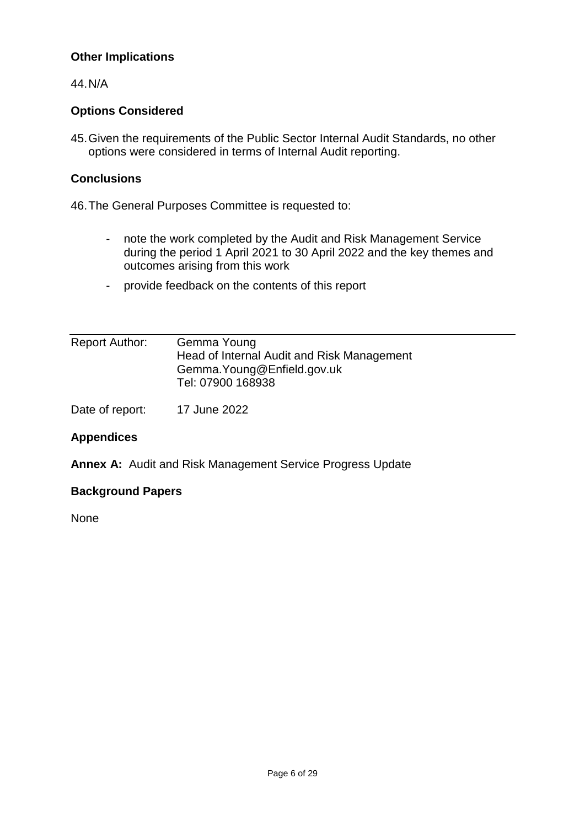# **Other Implications**

44.N/A

### **Options Considered**

45.Given the requirements of the Public Sector Internal Audit Standards, no other options were considered in terms of Internal Audit reporting.

#### **Conclusions**

46.The General Purposes Committee is requested to:

- note the work completed by the Audit and Risk Management Service during the period 1 April 2021 to 30 April 2022 and the key themes and outcomes arising from this work
- provide feedback on the contents of this report

| <b>Report Author:</b> | Gemma Young                                |
|-----------------------|--------------------------------------------|
|                       | Head of Internal Audit and Risk Management |
|                       | Gemma. Young@Enfield.gov.uk                |
|                       | Tel: 07900 168938                          |
|                       |                                            |

Date of report: 17 June 2022

# **Appendices**

**Annex A:** Audit and Risk Management Service Progress Update

#### **Background Papers**

None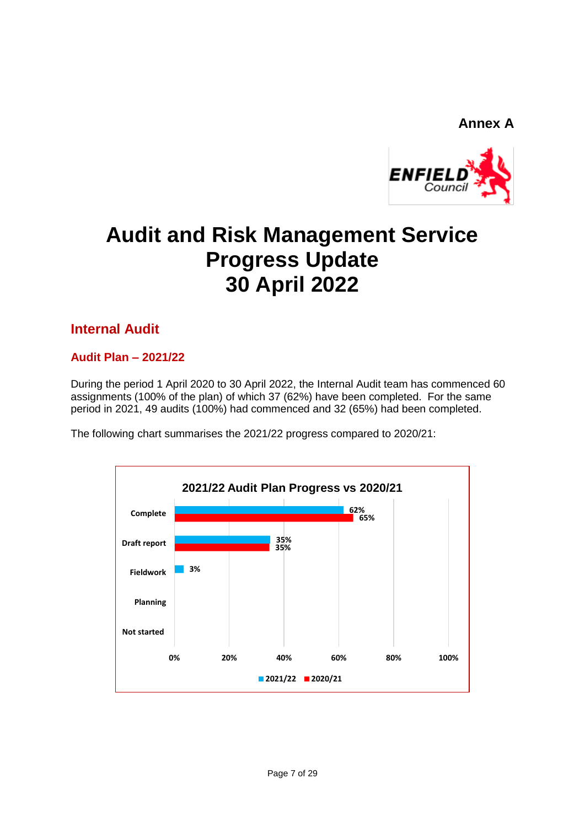# **Annex A**



# **Audit and Risk Management Service Progress Update 30 April 2022**

# **Internal Audit**

#### **Audit Plan – 2021/22**

During the period 1 April 2020 to 30 April 2022, the Internal Audit team has commenced 60 assignments (100% of the plan) of which 37 (62%) have been completed. For the same period in 2021, 49 audits (100%) had commenced and 32 (65%) had been completed.

The following chart summarises the 2021/22 progress compared to 2020/21:

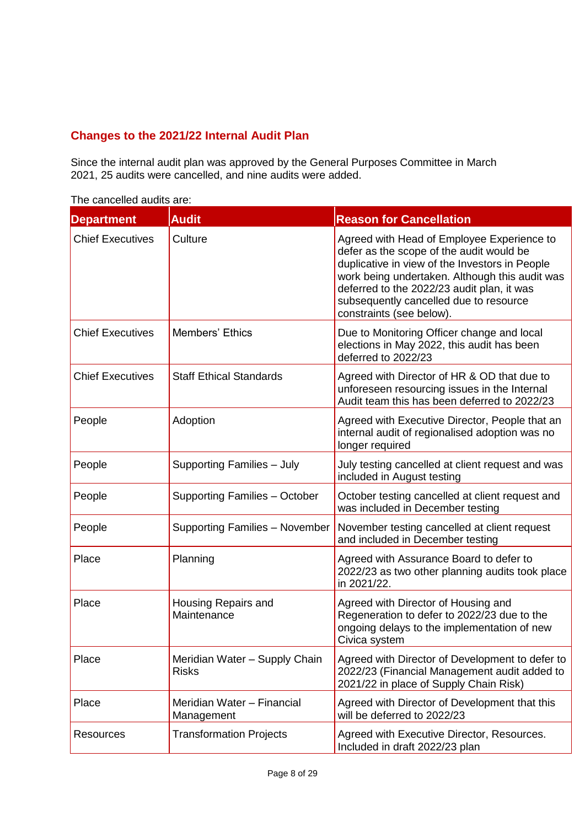# **Changes to the 2021/22 Internal Audit Plan**

Since the internal audit plan was approved by the General Purposes Committee in March 2021, 25 audits were cancelled, and nine audits were added.

| <b>Department</b>       | <b>Audit</b>                                  | <b>Reason for Cancellation</b>                                                                                                                                                                                                                                                                                 |
|-------------------------|-----------------------------------------------|----------------------------------------------------------------------------------------------------------------------------------------------------------------------------------------------------------------------------------------------------------------------------------------------------------------|
| <b>Chief Executives</b> | Culture                                       | Agreed with Head of Employee Experience to<br>defer as the scope of the audit would be<br>duplicative in view of the Investors in People<br>work being undertaken. Although this audit was<br>deferred to the 2022/23 audit plan, it was<br>subsequently cancelled due to resource<br>constraints (see below). |
| <b>Chief Executives</b> | Members' Ethics                               | Due to Monitoring Officer change and local<br>elections in May 2022, this audit has been<br>deferred to 2022/23                                                                                                                                                                                                |
| <b>Chief Executives</b> | <b>Staff Ethical Standards</b>                | Agreed with Director of HR & OD that due to<br>unforeseen resourcing issues in the Internal<br>Audit team this has been deferred to 2022/23                                                                                                                                                                    |
| People                  | Adoption                                      | Agreed with Executive Director, People that an<br>internal audit of regionalised adoption was no<br>longer required                                                                                                                                                                                            |
| People                  | Supporting Families - July                    | July testing cancelled at client request and was<br>included in August testing                                                                                                                                                                                                                                 |
| People                  | Supporting Families - October                 | October testing cancelled at client request and<br>was included in December testing                                                                                                                                                                                                                            |
| People                  | Supporting Families - November                | November testing cancelled at client request<br>and included in December testing                                                                                                                                                                                                                               |
| Place                   | Planning                                      | Agreed with Assurance Board to defer to<br>2022/23 as two other planning audits took place<br>in 2021/22.                                                                                                                                                                                                      |
| Place                   | Housing Repairs and<br>Maintenance            | Agreed with Director of Housing and<br>Regeneration to defer to 2022/23 due to the<br>ongoing delays to the implementation of new<br>Civica system                                                                                                                                                             |
| Place                   | Meridian Water - Supply Chain<br><b>Risks</b> | Agreed with Director of Development to defer to<br>2022/23 (Financial Management audit added to<br>2021/22 in place of Supply Chain Risk)                                                                                                                                                                      |
| Place                   | Meridian Water - Financial<br>Management      | Agreed with Director of Development that this<br>will be deferred to 2022/23                                                                                                                                                                                                                                   |
| <b>Resources</b>        | <b>Transformation Projects</b>                | Agreed with Executive Director, Resources.<br>Included in draft 2022/23 plan                                                                                                                                                                                                                                   |

The cancelled audits are: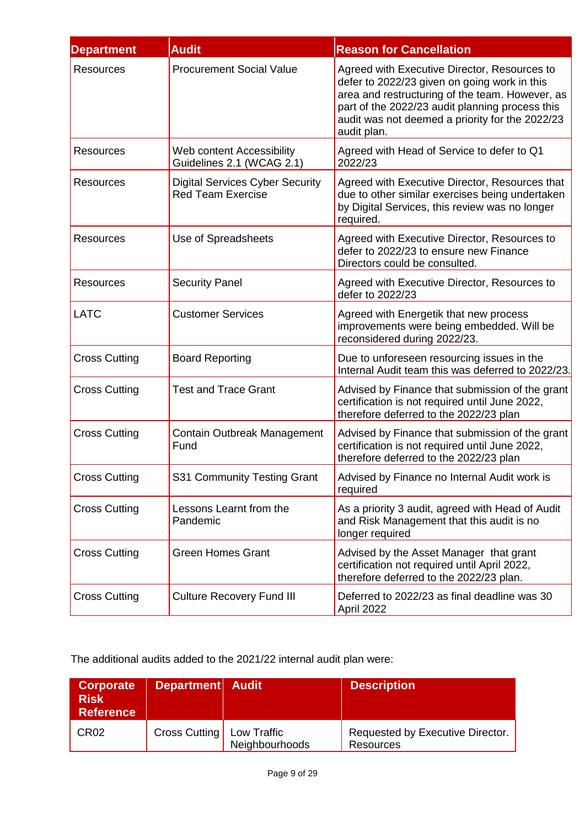| <b>Department</b>    | <b>Audit</b>                                                       | <b>Reason for Cancellation</b>                                                                                                                                                                                                                                       |
|----------------------|--------------------------------------------------------------------|----------------------------------------------------------------------------------------------------------------------------------------------------------------------------------------------------------------------------------------------------------------------|
| Resources            | <b>Procurement Social Value</b>                                    | Agreed with Executive Director, Resources to<br>defer to 2022/23 given on going work in this<br>area and restructuring of the team. However, as<br>part of the 2022/23 audit planning process this<br>audit was not deemed a priority for the 2022/23<br>audit plan. |
| <b>Resources</b>     | Web content Accessibility<br>Guidelines 2.1 (WCAG 2.1)             | Agreed with Head of Service to defer to Q1<br>2022/23                                                                                                                                                                                                                |
| <b>Resources</b>     | <b>Digital Services Cyber Security</b><br><b>Red Team Exercise</b> | Agreed with Executive Director, Resources that<br>due to other similar exercises being undertaken<br>by Digital Services, this review was no longer<br>required.                                                                                                     |
| <b>Resources</b>     | Use of Spreadsheets                                                | Agreed with Executive Director, Resources to<br>defer to 2022/23 to ensure new Finance<br>Directors could be consulted.                                                                                                                                              |
| <b>Resources</b>     | <b>Security Panel</b>                                              | Agreed with Executive Director, Resources to<br>defer to 2022/23                                                                                                                                                                                                     |
| <b>LATC</b>          | <b>Customer Services</b>                                           | Agreed with Energetik that new process<br>improvements were being embedded. Will be<br>reconsidered during 2022/23.                                                                                                                                                  |
| <b>Cross Cutting</b> | <b>Board Reporting</b>                                             | Due to unforeseen resourcing issues in the<br>Internal Audit team this was deferred to 2022/23.                                                                                                                                                                      |
| <b>Cross Cutting</b> | <b>Test and Trace Grant</b>                                        | Advised by Finance that submission of the grant<br>certification is not required until June 2022,<br>therefore deferred to the 2022/23 plan                                                                                                                          |
| <b>Cross Cutting</b> | <b>Contain Outbreak Management</b><br>Fund                         | Advised by Finance that submission of the grant<br>certification is not required until June 2022,<br>therefore deferred to the 2022/23 plan                                                                                                                          |
| <b>Cross Cutting</b> | S31 Community Testing Grant                                        | Advised by Finance no Internal Audit work is<br>required                                                                                                                                                                                                             |
| <b>Cross Cutting</b> | Lessons Learnt from the<br>Pandemic                                | As a priority 3 audit, agreed with Head of Audit<br>and Risk Management that this audit is no<br>longer required                                                                                                                                                     |
| <b>Cross Cutting</b> | <b>Green Homes Grant</b>                                           | Advised by the Asset Manager that grant<br>certification not required until April 2022,<br>therefore deferred to the 2022/23 plan.                                                                                                                                   |
| <b>Cross Cutting</b> | <b>Culture Recovery Fund III</b>                                   | Deferred to 2022/23 as final deadline was 30<br>April 2022                                                                                                                                                                                                           |

The additional audits added to the 2021/22 internal audit plan were:

| Corporate<br><b>Risk</b><br><b>Reference</b> | Department Audit |                               | <b>Description</b>                                   |
|----------------------------------------------|------------------|-------------------------------|------------------------------------------------------|
| CR <sub>02</sub>                             | Cross Cutting    | Low Traffic<br>Neighbourhoods | Requested by Executive Director.<br><b>Resources</b> |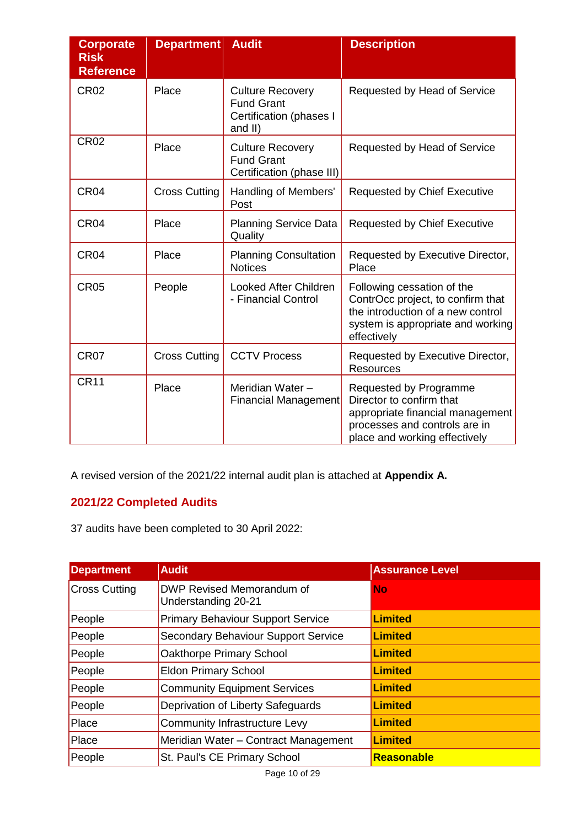| <b>Corporate</b><br><b>Risk</b><br><b>Reference</b> | <b>Department</b>    | <b>Audit</b>                                                                       | <b>Description</b>                                                                                                                                       |
|-----------------------------------------------------|----------------------|------------------------------------------------------------------------------------|----------------------------------------------------------------------------------------------------------------------------------------------------------|
| <b>CR02</b>                                         | Place                | <b>Culture Recovery</b><br><b>Fund Grant</b><br>Certification (phases I<br>and II) | Requested by Head of Service                                                                                                                             |
| <b>CR02</b>                                         | Place                | <b>Culture Recovery</b><br><b>Fund Grant</b><br>Certification (phase III)          | Requested by Head of Service                                                                                                                             |
| CR <sub>04</sub>                                    | <b>Cross Cutting</b> | Handling of Members'<br>Post                                                       | <b>Requested by Chief Executive</b>                                                                                                                      |
| CR <sub>04</sub>                                    | Place                | <b>Planning Service Data</b><br>Quality                                            | <b>Requested by Chief Executive</b>                                                                                                                      |
| CR <sub>04</sub>                                    | Place                | <b>Planning Consultation</b><br><b>Notices</b>                                     | Requested by Executive Director,<br>Place                                                                                                                |
| <b>CR05</b>                                         | People               | <b>Looked After Children</b><br>- Financial Control                                | Following cessation of the<br>ContrOcc project, to confirm that<br>the introduction of a new control<br>system is appropriate and working<br>effectively |
| CR <sub>07</sub>                                    | <b>Cross Cutting</b> | <b>CCTV Process</b>                                                                | Requested by Executive Director,<br><b>Resources</b>                                                                                                     |
| <b>CR11</b>                                         | Place                | Meridian Water-<br><b>Financial Management</b>                                     | Requested by Programme<br>Director to confirm that<br>appropriate financial management<br>processes and controls are in<br>place and working effectively |

A revised version of the 2021/22 internal audit plan is attached at **Appendix A.**

# **2021/22 Completed Audits**

37 audits have been completed to 30 April 2022:

| <b>Department</b>    | <b>Audit</b>                                            | <b>Assurance Level</b> |
|----------------------|---------------------------------------------------------|------------------------|
| <b>Cross Cutting</b> | <b>DWP Revised Memorandum of</b><br>Understanding 20-21 | No                     |
| People               | <b>Primary Behaviour Support Service</b>                | <b>Limited</b>         |
| People               | Secondary Behaviour Support Service                     | <b>Limited</b>         |
| People               | Oakthorpe Primary School                                | <b>Limited</b>         |
| People               | <b>Eldon Primary School</b>                             | <b>Limited</b>         |
| People               | <b>Community Equipment Services</b>                     | <b>Limited</b>         |
| People               | Deprivation of Liberty Safeguards                       | <b>Limited</b>         |
| Place                | <b>Community Infrastructure Levy</b>                    | <b>Limited</b>         |
| Place                | Meridian Water - Contract Management                    | <b>Limited</b>         |
| People               | St. Paul's CE Primary School                            | <b>Reasonable</b>      |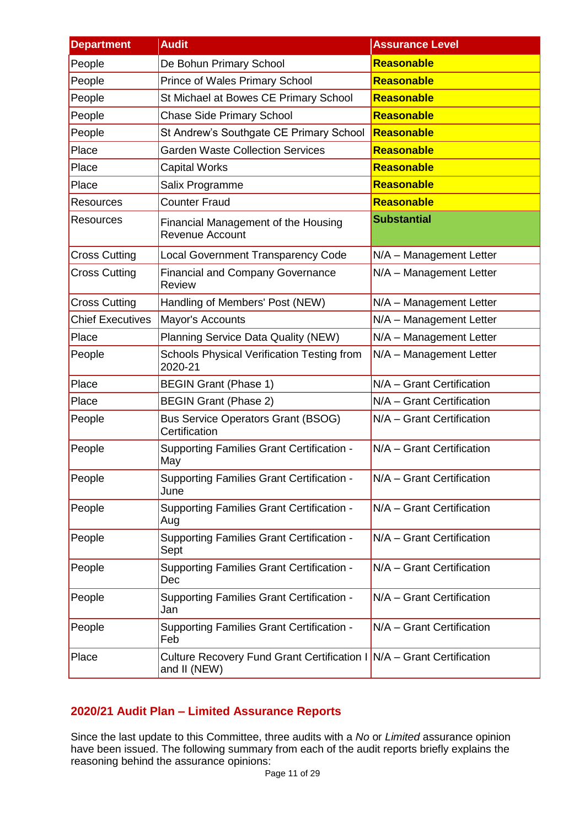| <b>Department</b>       | <b>Audit</b>                                                                          | <b>Assurance Level</b>    |
|-------------------------|---------------------------------------------------------------------------------------|---------------------------|
| People                  | De Bohun Primary School                                                               | <b>Reasonable</b>         |
| People                  | <b>Prince of Wales Primary School</b>                                                 | <b>Reasonable</b>         |
| People                  | St Michael at Bowes CE Primary School                                                 | <b>Reasonable</b>         |
| People                  | <b>Chase Side Primary School</b>                                                      | <b>Reasonable</b>         |
| People                  | St Andrew's Southgate CE Primary School                                               | Reasonable                |
| Place                   | <b>Garden Waste Collection Services</b>                                               | <b>Reasonable</b>         |
| Place                   | <b>Capital Works</b>                                                                  | <b>Reasonable</b>         |
| Place                   | Salix Programme                                                                       | <b>Reasonable</b>         |
| Resources               | <b>Counter Fraud</b>                                                                  | <b>Reasonable</b>         |
| <b>Resources</b>        | Financial Management of the Housing<br><b>Revenue Account</b>                         | <b>Substantial</b>        |
| <b>Cross Cutting</b>    | <b>Local Government Transparency Code</b>                                             | N/A - Management Letter   |
| <b>Cross Cutting</b>    | <b>Financial and Company Governance</b><br><b>Review</b>                              | N/A - Management Letter   |
| <b>Cross Cutting</b>    | Handling of Members' Post (NEW)                                                       | N/A - Management Letter   |
| <b>Chief Executives</b> | Mayor's Accounts                                                                      | N/A - Management Letter   |
| Place                   | Planning Service Data Quality (NEW)                                                   | N/A - Management Letter   |
| People                  | Schools Physical Verification Testing from<br>2020-21                                 | N/A - Management Letter   |
| Place                   | <b>BEGIN Grant (Phase 1)</b>                                                          | N/A - Grant Certification |
| Place                   | <b>BEGIN Grant (Phase 2)</b>                                                          | N/A - Grant Certification |
| People                  | <b>Bus Service Operators Grant (BSOG)</b><br>Certification                            | N/A - Grant Certification |
| People                  | <b>Supporting Families Grant Certification -</b><br>May                               | N/A - Grant Certification |
| People                  | <b>Supporting Families Grant Certification -</b><br>June                              | N/A - Grant Certification |
| People                  | <b>Supporting Families Grant Certification -</b><br>Aug                               | N/A - Grant Certification |
| People                  | <b>Supporting Families Grant Certification -</b><br>Sept                              | N/A - Grant Certification |
| People                  | <b>Supporting Families Grant Certification -</b><br>Dec                               | N/A - Grant Certification |
| People                  | <b>Supporting Families Grant Certification -</b><br>Jan                               | N/A - Grant Certification |
| People                  | <b>Supporting Families Grant Certification -</b><br>Feb                               | N/A - Grant Certification |
| Place                   | Culture Recovery Fund Grant Certification I N/A - Grant Certification<br>and II (NEW) |                           |

# **2020/21 Audit Plan – Limited Assurance Reports**

Since the last update to this Committee, three audits with a *No* or *Limited* assurance opinion have been issued. The following summary from each of the audit reports briefly explains the reasoning behind the assurance opinions: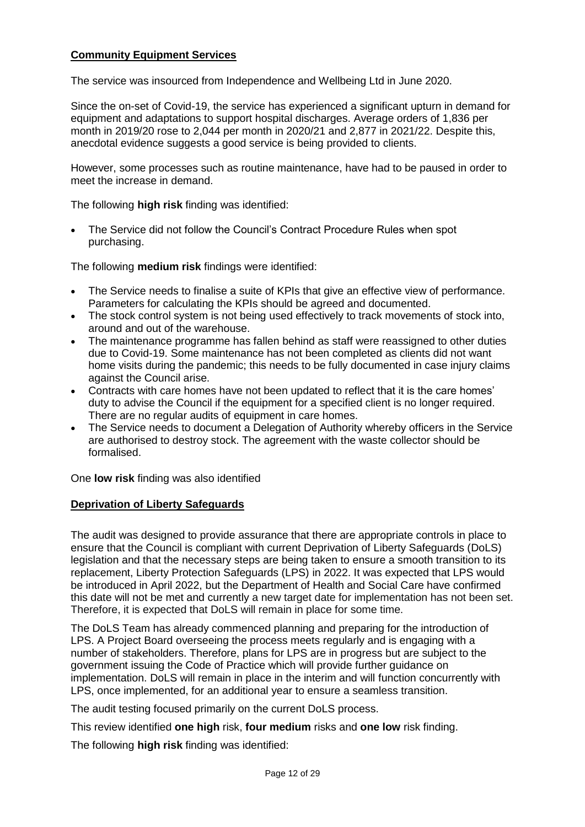#### **Community Equipment Services**

The service was insourced from Independence and Wellbeing Ltd in June 2020.

Since the on-set of Covid-19, the service has experienced a significant upturn in demand for equipment and adaptations to support hospital discharges. Average orders of 1,836 per month in 2019/20 rose to 2,044 per month in 2020/21 and 2,877 in 2021/22. Despite this, anecdotal evidence suggests a good service is being provided to clients.

However, some processes such as routine maintenance, have had to be paused in order to meet the increase in demand.

The following **high risk** finding was identified:

 The Service did not follow the Council's Contract Procedure Rules when spot purchasing.

The following **medium risk** findings were identified:

- The Service needs to finalise a suite of KPIs that give an effective view of performance. Parameters for calculating the KPIs should be agreed and documented.
- The stock control system is not being used effectively to track movements of stock into, around and out of the warehouse.
- The maintenance programme has fallen behind as staff were reassigned to other duties due to Covid-19. Some maintenance has not been completed as clients did not want home visits during the pandemic; this needs to be fully documented in case injury claims against the Council arise.
- Contracts with care homes have not been updated to reflect that it is the care homes' duty to advise the Council if the equipment for a specified client is no longer required. There are no regular audits of equipment in care homes.
- The Service needs to document a Delegation of Authority whereby officers in the Service are authorised to destroy stock. The agreement with the waste collector should be formalised.

One **low risk** finding was also identified

#### **Deprivation of Liberty Safeguards**

The audit was designed to provide assurance that there are appropriate controls in place to ensure that the Council is compliant with current Deprivation of Liberty Safeguards (DoLS) legislation and that the necessary steps are being taken to ensure a smooth transition to its replacement, Liberty Protection Safeguards (LPS) in 2022. It was expected that LPS would be introduced in April 2022, but the Department of Health and Social Care have confirmed this date will not be met and currently a new target date for implementation has not been set. Therefore, it is expected that DoLS will remain in place for some time.

The DoLS Team has already commenced planning and preparing for the introduction of LPS. A Project Board overseeing the process meets regularly and is engaging with a number of stakeholders. Therefore, plans for LPS are in progress but are subject to the government issuing the Code of Practice which will provide further guidance on implementation. DoLS will remain in place in the interim and will function concurrently with LPS, once implemented, for an additional year to ensure a seamless transition.

The audit testing focused primarily on the current DoLS process.

This review identified **one high** risk, **four medium** risks and **one low** risk finding.

The following **high risk** finding was identified: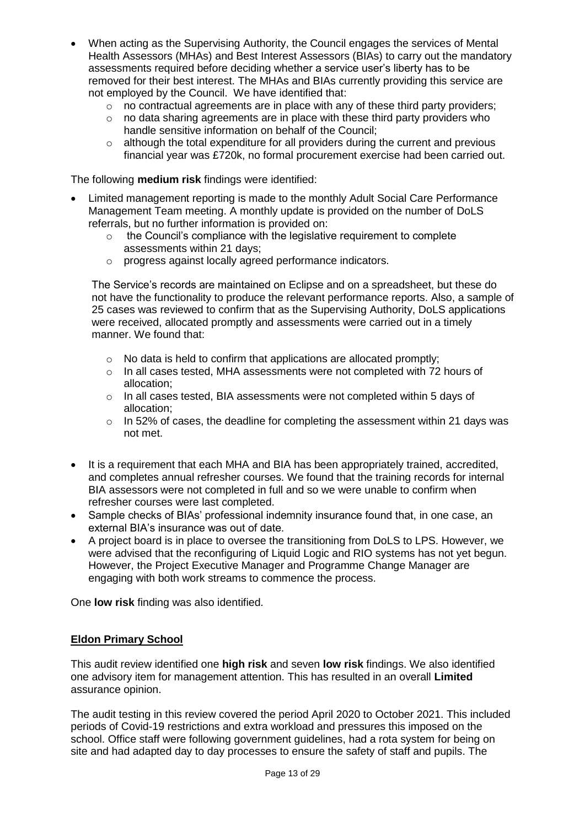- When acting as the Supervising Authority, the Council engages the services of Mental Health Assessors (MHAs) and Best Interest Assessors (BIAs) to carry out the mandatory assessments required before deciding whether a service user's liberty has to be removed for their best interest. The MHAs and BIAs currently providing this service are not employed by the Council. We have identified that:
	- o no contractual agreements are in place with any of these third party providers;
	- $\circ$  no data sharing agreements are in place with these third party providers who handle sensitive information on behalf of the Council;
	- $\circ$  although the total expenditure for all providers during the current and previous financial year was £720k, no formal procurement exercise had been carried out.

The following **medium risk** findings were identified:

- Limited management reporting is made to the monthly Adult Social Care Performance Management Team meeting. A monthly update is provided on the number of DoLS referrals, but no further information is provided on:
	- $\circ$  the Council's compliance with the legislative requirement to complete assessments within 21 days;
	- o progress against locally agreed performance indicators.

The Service's records are maintained on Eclipse and on a spreadsheet, but these do not have the functionality to produce the relevant performance reports. Also, a sample of 25 cases was reviewed to confirm that as the Supervising Authority, DoLS applications were received, allocated promptly and assessments were carried out in a timely manner. We found that:

- o No data is held to confirm that applications are allocated promptly;
- o In all cases tested, MHA assessments were not completed with 72 hours of allocation;
- $\circ$  In all cases tested, BIA assessments were not completed within 5 days of allocation;
- o In 52% of cases, the deadline for completing the assessment within 21 days was not met.
- It is a requirement that each MHA and BIA has been appropriately trained, accredited, and completes annual refresher courses. We found that the training records for internal BIA assessors were not completed in full and so we were unable to confirm when refresher courses were last completed.
- Sample checks of BIAs' professional indemnity insurance found that, in one case, an external BIA's insurance was out of date.
- A project board is in place to oversee the transitioning from DoLS to LPS. However, we were advised that the reconfiguring of Liquid Logic and RIO systems has not yet begun. However, the Project Executive Manager and Programme Change Manager are engaging with both work streams to commence the process.

One **low risk** finding was also identified.

#### **Eldon Primary School**

This audit review identified one **high risk** and seven **low risk** findings. We also identified one advisory item for management attention. This has resulted in an overall **Limited** assurance opinion.

The audit testing in this review covered the period April 2020 to October 2021. This included periods of Covid-19 restrictions and extra workload and pressures this imposed on the school. Office staff were following government guidelines, had a rota system for being on site and had adapted day to day processes to ensure the safety of staff and pupils. The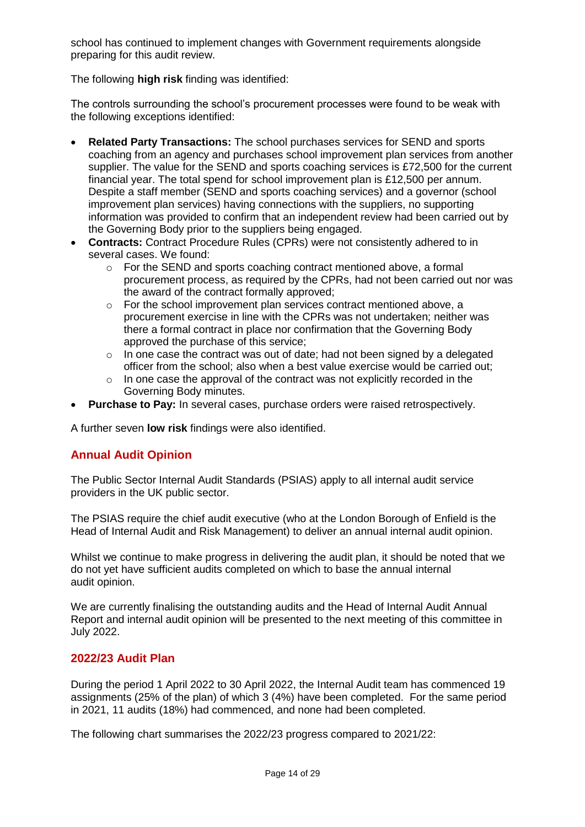school has continued to implement changes with Government requirements alongside preparing for this audit review.

The following **high risk** finding was identified:

The controls surrounding the school's procurement processes were found to be weak with the following exceptions identified:

- **Related Party Transactions:** The school purchases services for SEND and sports coaching from an agency and purchases school improvement plan services from another supplier. The value for the SEND and sports coaching services is £72,500 for the current financial year. The total spend for school improvement plan is £12,500 per annum. Despite a staff member (SEND and sports coaching services) and a governor (school improvement plan services) having connections with the suppliers, no supporting information was provided to confirm that an independent review had been carried out by the Governing Body prior to the suppliers being engaged.
- **Contracts:** Contract Procedure Rules (CPRs) were not consistently adhered to in several cases. We found:
	- o For the SEND and sports coaching contract mentioned above, a formal procurement process, as required by the CPRs, had not been carried out nor was the award of the contract formally approved;
	- o For the school improvement plan services contract mentioned above, a procurement exercise in line with the CPRs was not undertaken; neither was there a formal contract in place nor confirmation that the Governing Body approved the purchase of this service;
	- o In one case the contract was out of date; had not been signed by a delegated officer from the school; also when a best value exercise would be carried out;
	- o In one case the approval of the contract was not explicitly recorded in the Governing Body minutes.
- **Purchase to Pay:** In several cases, purchase orders were raised retrospectively.

A further seven **low risk** findings were also identified.

#### **Annual Audit Opinion**

The Public Sector Internal Audit Standards (PSIAS) apply to all internal audit service providers in the UK public sector.

The PSIAS require the chief audit executive (who at the London Borough of Enfield is the Head of Internal Audit and Risk Management) to deliver an annual internal audit opinion.

Whilst we continue to make progress in delivering the audit plan, it should be noted that we do not yet have sufficient audits completed on which to base the annual internal audit opinion.

We are currently finalising the outstanding audits and the Head of Internal Audit Annual Report and internal audit opinion will be presented to the next meeting of this committee in July 2022.

#### **2022/23 Audit Plan**

During the period 1 April 2022 to 30 April 2022, the Internal Audit team has commenced 19 assignments (25% of the plan) of which 3 (4%) have been completed. For the same period in 2021, 11 audits (18%) had commenced, and none had been completed.

The following chart summarises the 2022/23 progress compared to 2021/22: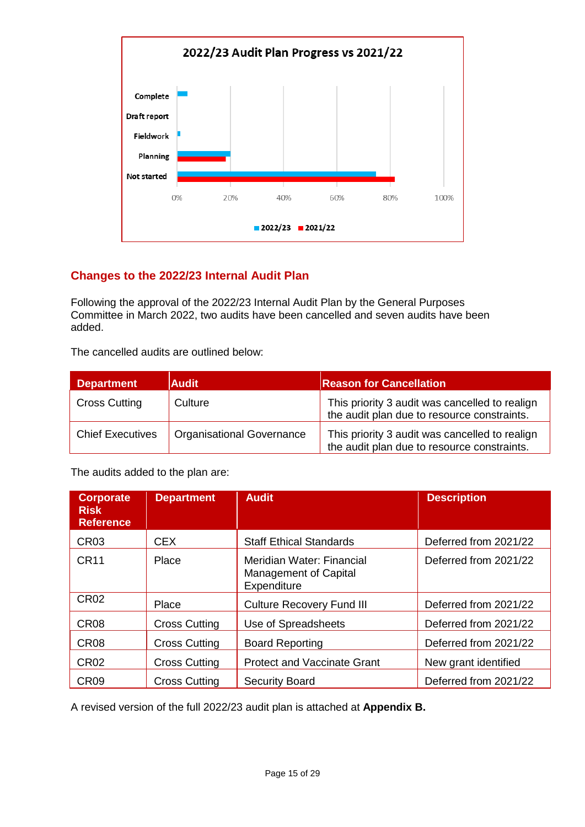

# **Changes to the 2022/23 Internal Audit Plan**

Following the approval of the 2022/23 Internal Audit Plan by the General Purposes Committee in March 2022, two audits have been cancelled and seven audits have been added.

The cancelled audits are outlined below:

| <b>Department</b>       | <b>Audit</b>                     | <b>Reason for Cancellation</b>                                                                |
|-------------------------|----------------------------------|-----------------------------------------------------------------------------------------------|
| <b>Cross Cutting</b>    | Culture                          | This priority 3 audit was cancelled to realign<br>the audit plan due to resource constraints. |
| <b>Chief Executives</b> | <b>Organisational Governance</b> | This priority 3 audit was cancelled to realign<br>the audit plan due to resource constraints. |

The audits added to the plan are:

| <b>Corporate</b><br><b>Risk</b><br><b>Reference</b> | <b>Department</b>    | <b>Audit</b>                                                      | <b>Description</b>    |
|-----------------------------------------------------|----------------------|-------------------------------------------------------------------|-----------------------|
| CR <sub>03</sub>                                    | <b>CEX</b>           | <b>Staff Ethical Standards</b>                                    | Deferred from 2021/22 |
| <b>CR11</b>                                         | Place                | Meridian Water: Financial<br>Management of Capital<br>Expenditure | Deferred from 2021/22 |
| CR <sub>02</sub>                                    | Place                | <b>Culture Recovery Fund III</b>                                  | Deferred from 2021/22 |
| CR <sub>08</sub>                                    | <b>Cross Cutting</b> | Use of Spreadsheets                                               | Deferred from 2021/22 |
| CR <sub>08</sub>                                    | <b>Cross Cutting</b> | <b>Board Reporting</b>                                            | Deferred from 2021/22 |
| CR <sub>02</sub>                                    | <b>Cross Cutting</b> | <b>Protect and Vaccinate Grant</b>                                | New grant identified  |
| CR <sub>09</sub>                                    | <b>Cross Cutting</b> | <b>Security Board</b>                                             | Deferred from 2021/22 |

A revised version of the full 2022/23 audit plan is attached at **Appendix B.**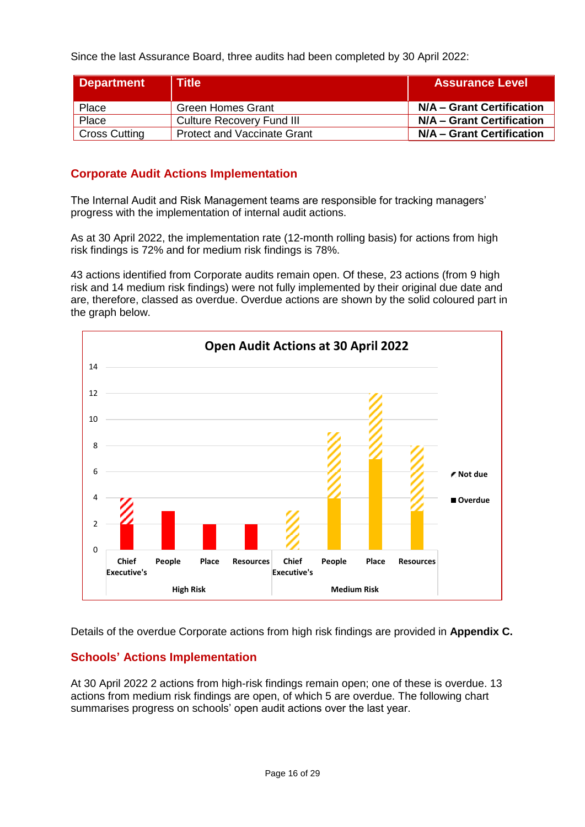Since the last Assurance Board, three audits had been completed by 30 April 2022:

| <b>Department</b>    | <b>Title</b>                       | <b>Assurance Level</b>    |
|----------------------|------------------------------------|---------------------------|
| Place                | <b>Green Homes Grant</b>           | N/A – Grant Certification |
| Place                | Culture Recovery Fund III          | N/A - Grant Certification |
| <b>Cross Cutting</b> | <b>Protect and Vaccinate Grant</b> | N/A – Grant Certification |

#### **Corporate Audit Actions Implementation**

The Internal Audit and Risk Management teams are responsible for tracking managers' progress with the implementation of internal audit actions.

As at 30 April 2022, the implementation rate (12-month rolling basis) for actions from high risk findings is 72% and for medium risk findings is 78%.

43 actions identified from Corporate audits remain open. Of these, 23 actions (from 9 high risk and 14 medium risk findings) were not fully implemented by their original due date and are, therefore, classed as overdue. Overdue actions are shown by the solid coloured part in the graph below.



Details of the overdue Corporate actions from high risk findings are provided in **Appendix C.**

#### **Schools' Actions Implementation**

At 30 April 2022 2 actions from high-risk findings remain open; one of these is overdue. 13 actions from medium risk findings are open, of which 5 are overdue. The following chart summarises progress on schools' open audit actions over the last year.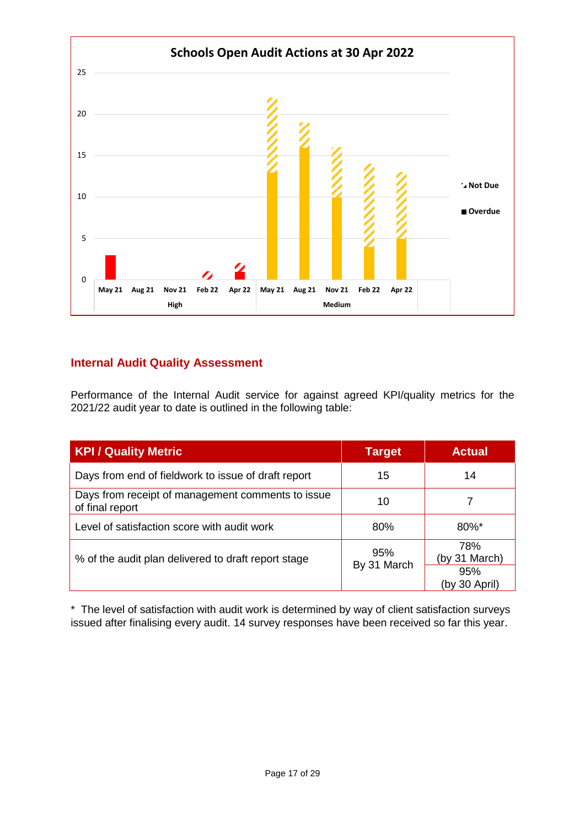

# **Internal Audit Quality Assessment**

Performance of the Internal Audit service for against agreed KPI/quality metrics for the 2021/22 audit year to date is outlined in the following table:

| <b>KPI / Quality Metric</b>                                          | <b>Target</b>      | <b>Actual</b>               |
|----------------------------------------------------------------------|--------------------|-----------------------------|
| Days from end of fieldwork to issue of draft report                  | 15                 | 14                          |
| Days from receipt of management comments to issue<br>of final report | 10                 |                             |
| Level of satisfaction score with audit work                          | 80%                | $80\%$ *                    |
| % of the audit plan delivered to draft report stage                  | 95%<br>By 31 March | 78%<br>(by 31 March)<br>95% |
|                                                                      |                    | (by 30 April)               |

\* The level of satisfaction with audit work is determined by way of client satisfaction surveys issued after finalising every audit. 14 survey responses have been received so far this year.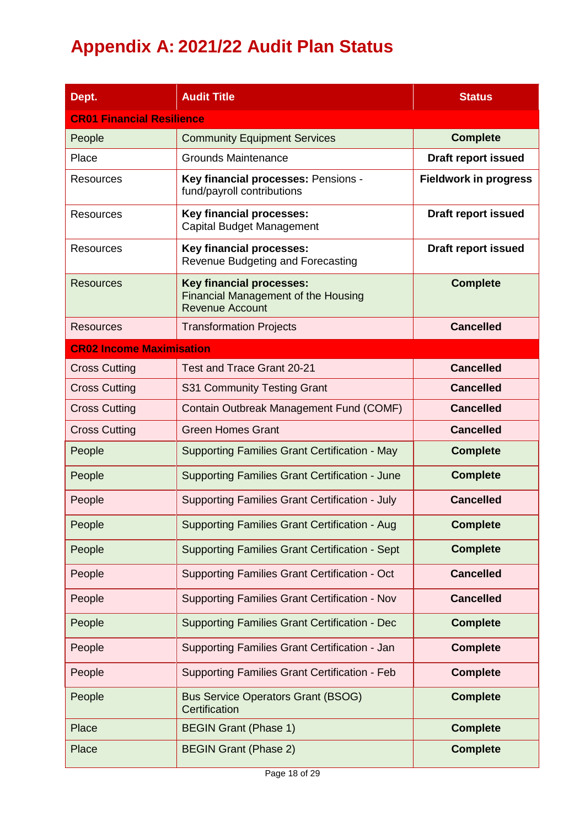# **Appendix A: 2021/22 Audit Plan Status**

| Dept.                            | <b>Audit Title</b>                                                                                      | <b>Status</b>                |  |  |  |
|----------------------------------|---------------------------------------------------------------------------------------------------------|------------------------------|--|--|--|
| <b>CR01 Financial Resilience</b> |                                                                                                         |                              |  |  |  |
| People                           | <b>Community Equipment Services</b>                                                                     | <b>Complete</b>              |  |  |  |
| Place                            | <b>Grounds Maintenance</b>                                                                              | <b>Draft report issued</b>   |  |  |  |
| <b>Resources</b>                 | Key financial processes: Pensions -<br>fund/payroll contributions                                       | <b>Fieldwork in progress</b> |  |  |  |
| <b>Resources</b>                 | <b>Key financial processes:</b><br>Capital Budget Management                                            | <b>Draft report issued</b>   |  |  |  |
| Resources                        | <b>Key financial processes:</b><br>Revenue Budgeting and Forecasting                                    | <b>Draft report issued</b>   |  |  |  |
| <b>Resources</b>                 | <b>Key financial processes:</b><br><b>Financial Management of the Housing</b><br><b>Revenue Account</b> | <b>Complete</b>              |  |  |  |
| <b>Resources</b>                 | <b>Transformation Projects</b>                                                                          | <b>Cancelled</b>             |  |  |  |
| <b>CR02 Income Maximisation</b>  |                                                                                                         |                              |  |  |  |
| <b>Cross Cutting</b>             | Test and Trace Grant 20-21                                                                              | <b>Cancelled</b>             |  |  |  |
| <b>Cross Cutting</b>             | S31 Community Testing Grant                                                                             | <b>Cancelled</b>             |  |  |  |
| <b>Cross Cutting</b>             | Contain Outbreak Management Fund (COMF)                                                                 | <b>Cancelled</b>             |  |  |  |
| <b>Cross Cutting</b>             | <b>Green Homes Grant</b>                                                                                | <b>Cancelled</b>             |  |  |  |
| People                           | <b>Supporting Families Grant Certification - May</b>                                                    | <b>Complete</b>              |  |  |  |
| People                           | <b>Supporting Families Grant Certification - June</b>                                                   | <b>Complete</b>              |  |  |  |
| People                           | <b>Supporting Families Grant Certification - July</b>                                                   | <b>Cancelled</b>             |  |  |  |
| People                           | Supporting Families Grant Certification - Aug                                                           | <b>Complete</b>              |  |  |  |
| People                           | <b>Supporting Families Grant Certification - Sept</b>                                                   | <b>Complete</b>              |  |  |  |
| People                           | Supporting Families Grant Certification - Oct                                                           | <b>Cancelled</b>             |  |  |  |
| People                           | Supporting Families Grant Certification - Nov                                                           | <b>Cancelled</b>             |  |  |  |
| People                           | <b>Supporting Families Grant Certification - Dec</b>                                                    | <b>Complete</b>              |  |  |  |
| People                           | Supporting Families Grant Certification - Jan                                                           | <b>Complete</b>              |  |  |  |
| People                           | <b>Supporting Families Grant Certification - Feb</b>                                                    | <b>Complete</b>              |  |  |  |
| People                           | <b>Bus Service Operators Grant (BSOG)</b><br>Certification                                              | <b>Complete</b>              |  |  |  |
| Place                            | <b>BEGIN Grant (Phase 1)</b>                                                                            | <b>Complete</b>              |  |  |  |
| Place                            | <b>BEGIN Grant (Phase 2)</b>                                                                            | <b>Complete</b>              |  |  |  |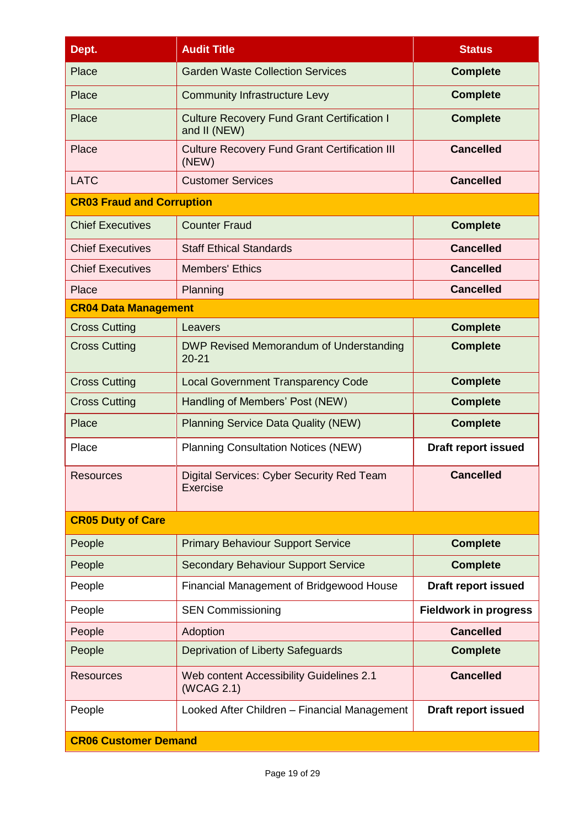| Dept.                            | <b>Audit Title</b>                                                 | <b>Status</b>                |
|----------------------------------|--------------------------------------------------------------------|------------------------------|
| Place                            | <b>Garden Waste Collection Services</b>                            | <b>Complete</b>              |
| Place                            | <b>Community Infrastructure Levy</b>                               | <b>Complete</b>              |
| Place                            | <b>Culture Recovery Fund Grant Certification I</b><br>and II (NEW) | <b>Complete</b>              |
| Place                            | <b>Culture Recovery Fund Grant Certification III</b><br>(NEW)      | <b>Cancelled</b>             |
| <b>LATC</b>                      | <b>Customer Services</b>                                           | <b>Cancelled</b>             |
| <b>CR03 Fraud and Corruption</b> |                                                                    |                              |
| <b>Chief Executives</b>          | <b>Counter Fraud</b>                                               | <b>Complete</b>              |
| <b>Chief Executives</b>          | <b>Staff Ethical Standards</b>                                     | <b>Cancelled</b>             |
| <b>Chief Executives</b>          | <b>Members' Ethics</b>                                             | <b>Cancelled</b>             |
| Place                            | Planning                                                           | <b>Cancelled</b>             |
| <b>CR04 Data Management</b>      |                                                                    |                              |
| <b>Cross Cutting</b>             | Leavers                                                            | <b>Complete</b>              |
| <b>Cross Cutting</b>             | DWP Revised Memorandum of Understanding<br>$20 - 21$               | <b>Complete</b>              |
| <b>Cross Cutting</b>             | <b>Local Government Transparency Code</b>                          | <b>Complete</b>              |
| <b>Cross Cutting</b>             | Handling of Members' Post (NEW)                                    | <b>Complete</b>              |
| Place                            | <b>Planning Service Data Quality (NEW)</b>                         | <b>Complete</b>              |
| Place                            | <b>Planning Consultation Notices (NEW)</b>                         | <b>Draft report issued</b>   |
| <b>Resources</b>                 | Digital Services: Cyber Security Red Team<br><b>Exercise</b>       | <b>Cancelled</b>             |
| <b>CR05 Duty of Care</b>         |                                                                    |                              |
| People                           | <b>Primary Behaviour Support Service</b>                           | <b>Complete</b>              |
| People                           | <b>Secondary Behaviour Support Service</b>                         | <b>Complete</b>              |
| People                           | Financial Management of Bridgewood House                           | <b>Draft report issued</b>   |
| People                           | <b>SEN Commissioning</b>                                           | <b>Fieldwork in progress</b> |
| People                           | Adoption                                                           | <b>Cancelled</b>             |
| People                           | Deprivation of Liberty Safeguards                                  | <b>Complete</b>              |
| <b>Resources</b>                 | Web content Accessibility Guidelines 2.1<br>(WCAG 2.1)             | <b>Cancelled</b>             |
| People                           | Looked After Children - Financial Management                       | <b>Draft report issued</b>   |
| <b>CR06 Customer Demand</b>      |                                                                    |                              |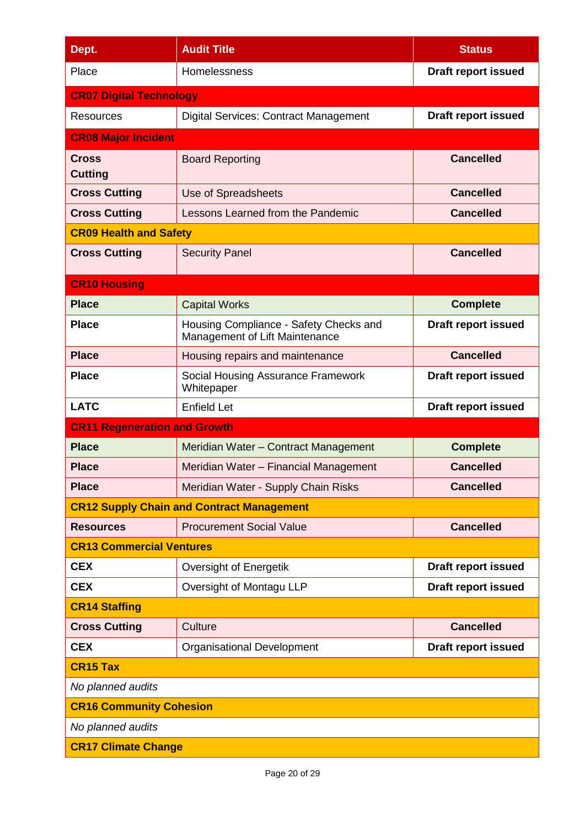| Dept.                               | <b>Audit Title</b>                                                       | <b>Status</b>              |  |
|-------------------------------------|--------------------------------------------------------------------------|----------------------------|--|
| Place                               | Homelessness                                                             | <b>Draft report issued</b> |  |
| <b>CR07 Digital Technology</b>      |                                                                          |                            |  |
| Resources                           | <b>Digital Services: Contract Management</b>                             | <b>Draft report issued</b> |  |
| <b>CR08 Major Incident</b>          |                                                                          |                            |  |
| <b>Cross</b><br><b>Cutting</b>      | <b>Board Reporting</b>                                                   | <b>Cancelled</b>           |  |
| <b>Cross Cutting</b>                | Use of Spreadsheets                                                      | <b>Cancelled</b>           |  |
| <b>Cross Cutting</b>                | Lessons Learned from the Pandemic                                        | <b>Cancelled</b>           |  |
| <b>CR09 Health and Safety</b>       |                                                                          |                            |  |
| <b>Cross Cutting</b>                | <b>Security Panel</b>                                                    | <b>Cancelled</b>           |  |
| <b>CR10 Housing</b>                 |                                                                          |                            |  |
| <b>Place</b>                        | <b>Capital Works</b>                                                     | <b>Complete</b>            |  |
| <b>Place</b>                        | Housing Compliance - Safety Checks and<br>Management of Lift Maintenance | <b>Draft report issued</b> |  |
| <b>Place</b>                        | Housing repairs and maintenance                                          | <b>Cancelled</b>           |  |
| <b>Place</b>                        | Social Housing Assurance Framework<br>Whitepaper                         | <b>Draft report issued</b> |  |
| <b>LATC</b>                         | <b>Enfield Let</b>                                                       | <b>Draft report issued</b> |  |
| <b>CR11 Regeneration and Growth</b> |                                                                          |                            |  |
| <b>Place</b>                        | Meridian Water - Contract Management                                     | <b>Complete</b>            |  |
| <b>Place</b>                        | Meridian Water - Financial Management                                    | <b>Cancelled</b>           |  |
| <b>Place</b>                        | Meridian Water - Supply Chain Risks                                      | <b>Cancelled</b>           |  |
|                                     | <b>CR12 Supply Chain and Contract Management</b>                         |                            |  |
| <b>Resources</b>                    | <b>Procurement Social Value</b>                                          | <b>Cancelled</b>           |  |
| <b>CR13 Commercial Ventures</b>     |                                                                          |                            |  |
| <b>CEX</b>                          | Oversight of Energetik                                                   | <b>Draft report issued</b> |  |
| <b>CEX</b>                          | Oversight of Montagu LLP                                                 | Draft report issued        |  |
| <b>CR14 Staffing</b>                |                                                                          |                            |  |
| <b>Cross Cutting</b>                | Culture                                                                  | <b>Cancelled</b>           |  |
| <b>CEX</b>                          | <b>Organisational Development</b>                                        | <b>Draft report issued</b> |  |
| <b>CR15 Tax</b>                     |                                                                          |                            |  |
| No planned audits                   |                                                                          |                            |  |
| <b>CR16 Community Cohesion</b>      |                                                                          |                            |  |
| No planned audits                   |                                                                          |                            |  |
| <b>CR17 Climate Change</b>          |                                                                          |                            |  |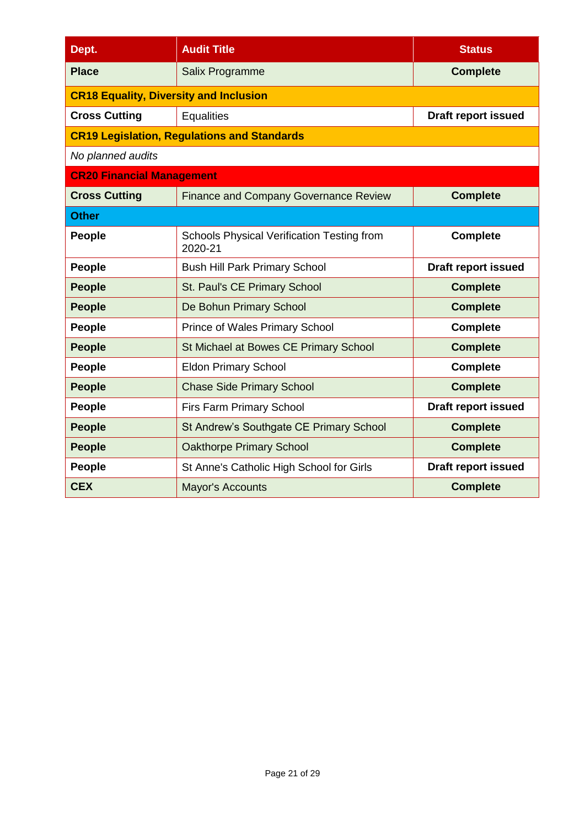| Dept.                                         | <b>Audit Title</b>                                    | <b>Status</b>              |
|-----------------------------------------------|-------------------------------------------------------|----------------------------|
| <b>Place</b>                                  | Salix Programme                                       | <b>Complete</b>            |
| <b>CR18 Equality, Diversity and Inclusion</b> |                                                       |                            |
| <b>Cross Cutting</b>                          | <b>Equalities</b>                                     | <b>Draft report issued</b> |
|                                               | <b>CR19 Legislation, Regulations and Standards</b>    |                            |
| No planned audits                             |                                                       |                            |
| <b>CR20 Financial Management</b>              |                                                       |                            |
| <b>Cross Cutting</b>                          | <b>Finance and Company Governance Review</b>          | <b>Complete</b>            |
| <b>Other</b>                                  |                                                       |                            |
| People                                        | Schools Physical Verification Testing from<br>2020-21 | <b>Complete</b>            |
| People                                        | <b>Bush Hill Park Primary School</b>                  | <b>Draft report issued</b> |
| <b>People</b>                                 | St. Paul's CE Primary School                          | <b>Complete</b>            |
| <b>People</b>                                 | De Bohun Primary School                               | <b>Complete</b>            |
| People                                        | <b>Prince of Wales Primary School</b>                 | <b>Complete</b>            |
| <b>People</b>                                 | St Michael at Bowes CE Primary School                 | <b>Complete</b>            |
| People                                        | <b>Eldon Primary School</b>                           | <b>Complete</b>            |
| <b>People</b>                                 | <b>Chase Side Primary School</b>                      | <b>Complete</b>            |
| People                                        | Firs Farm Primary School                              | <b>Draft report issued</b> |
| <b>People</b>                                 | St Andrew's Southgate CE Primary School               | <b>Complete</b>            |
| <b>People</b>                                 | <b>Oakthorpe Primary School</b>                       | <b>Complete</b>            |
| People                                        | St Anne's Catholic High School for Girls              | <b>Draft report issued</b> |
| <b>CEX</b>                                    | <b>Mayor's Accounts</b>                               | <b>Complete</b>            |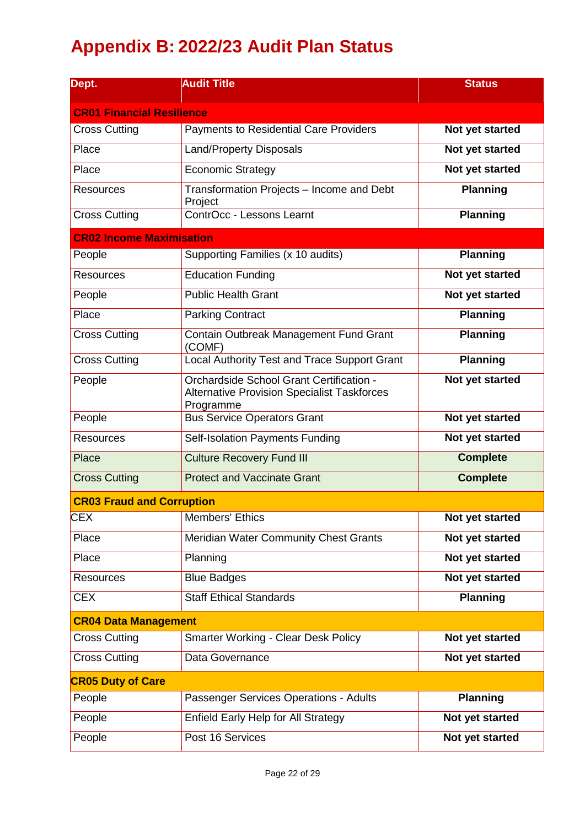# **Appendix B: 2022/23 Audit Plan Status**

| Dept.                            | <b>Audit Title</b>                                                                                          | <b>Status</b>   |
|----------------------------------|-------------------------------------------------------------------------------------------------------------|-----------------|
| <b>CR01 Financial Resilience</b> |                                                                                                             |                 |
| <b>Cross Cutting</b>             | <b>Payments to Residential Care Providers</b>                                                               | Not yet started |
| Place                            | <b>Land/Property Disposals</b>                                                                              | Not yet started |
| Place                            | <b>Economic Strategy</b>                                                                                    | Not yet started |
| <b>Resources</b>                 | Transformation Projects - Income and Debt<br>Project                                                        | <b>Planning</b> |
| <b>Cross Cutting</b>             | ContrOcc - Lessons Learnt                                                                                   | <b>Planning</b> |
| <b>CR02 Income Maximisation</b>  |                                                                                                             |                 |
| People                           | Supporting Families (x 10 audits)                                                                           | <b>Planning</b> |
| <b>Resources</b>                 | <b>Education Funding</b>                                                                                    | Not yet started |
| People                           | <b>Public Health Grant</b>                                                                                  | Not yet started |
| Place                            | <b>Parking Contract</b>                                                                                     | <b>Planning</b> |
| <b>Cross Cutting</b>             | Contain Outbreak Management Fund Grant<br>(COMF)                                                            | <b>Planning</b> |
| <b>Cross Cutting</b>             | Local Authority Test and Trace Support Grant                                                                | <b>Planning</b> |
| People                           | Orchardside School Grant Certification -<br><b>Alternative Provision Specialist Taskforces</b><br>Programme | Not yet started |
| People                           | <b>Bus Service Operators Grant</b>                                                                          | Not yet started |
| <b>Resources</b>                 | Self-Isolation Payments Funding                                                                             | Not yet started |
| Place                            | <b>Culture Recovery Fund III</b>                                                                            | <b>Complete</b> |
| <b>Cross Cutting</b>             | <b>Protect and Vaccinate Grant</b>                                                                          | <b>Complete</b> |
| <b>CR03 Fraud and Corruption</b> |                                                                                                             |                 |
| <b>CEX</b>                       | Members' Ethics                                                                                             | Not yet started |
| Place                            | Meridian Water Community Chest Grants                                                                       | Not yet started |
| Place                            | Planning                                                                                                    | Not yet started |
| Resources                        | <b>Blue Badges</b>                                                                                          | Not yet started |
| <b>CEX</b>                       | <b>Staff Ethical Standards</b>                                                                              | <b>Planning</b> |
| <b>CR04 Data Management</b>      |                                                                                                             |                 |
| <b>Cross Cutting</b>             | <b>Smarter Working - Clear Desk Policy</b>                                                                  | Not yet started |
| <b>Cross Cutting</b>             | Data Governance                                                                                             | Not yet started |
| <b>CR05 Duty of Care</b>         |                                                                                                             |                 |
| People                           | Passenger Services Operations - Adults                                                                      | <b>Planning</b> |
| People                           | Enfield Early Help for All Strategy                                                                         | Not yet started |
| People                           | Post 16 Services                                                                                            | Not yet started |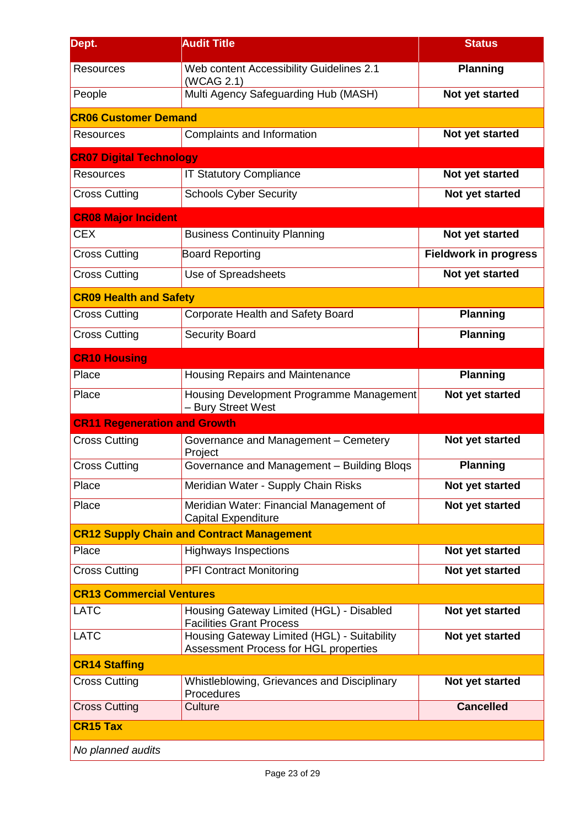| Dept.                               | <b>Audit Title</b>                                                                   | <b>Status</b>                |
|-------------------------------------|--------------------------------------------------------------------------------------|------------------------------|
| <b>Resources</b>                    | Web content Accessibility Guidelines 2.1<br>(WCAG 2.1)                               | <b>Planning</b>              |
| People                              | Multi Agency Safeguarding Hub (MASH)                                                 | Not yet started              |
| <b>CR06 Customer Demand</b>         |                                                                                      |                              |
| <b>Resources</b>                    | Complaints and Information                                                           | Not yet started              |
| <b>CR07 Digital Technology</b>      |                                                                                      |                              |
| <b>Resources</b>                    | <b>IT Statutory Compliance</b>                                                       | Not yet started              |
| <b>Cross Cutting</b>                | <b>Schools Cyber Security</b>                                                        | Not yet started              |
| <b>CR08 Major Incident</b>          |                                                                                      |                              |
| <b>CEX</b>                          | <b>Business Continuity Planning</b>                                                  | Not yet started              |
| <b>Cross Cutting</b>                | <b>Board Reporting</b>                                                               | <b>Fieldwork in progress</b> |
| <b>Cross Cutting</b>                | Use of Spreadsheets                                                                  | Not yet started              |
| <b>CR09 Health and Safety</b>       |                                                                                      |                              |
| <b>Cross Cutting</b>                | Corporate Health and Safety Board                                                    | <b>Planning</b>              |
| <b>Cross Cutting</b>                | <b>Security Board</b>                                                                | <b>Planning</b>              |
| <b>CR10 Housing</b>                 |                                                                                      |                              |
| Place                               | Housing Repairs and Maintenance                                                      | <b>Planning</b>              |
| Place                               | Housing Development Programme Management<br>- Bury Street West                       | Not yet started              |
| <b>CR11 Regeneration and Growth</b> |                                                                                      |                              |
| <b>Cross Cutting</b>                | Governance and Management - Cemetery<br>Project                                      | Not yet started              |
| <b>Cross Cutting</b>                | Governance and Management - Building Bloqs                                           | <b>Planning</b>              |
| Place                               | Meridian Water - Supply Chain Risks                                                  | Not yet started              |
| Place                               | Meridian Water: Financial Management of<br><b>Capital Expenditure</b>                | Not yet started              |
|                                     | <b>CR12 Supply Chain and Contract Management</b>                                     |                              |
| Place                               | <b>Highways Inspections</b>                                                          | Not yet started              |
| <b>Cross Cutting</b>                | <b>PFI Contract Monitoring</b>                                                       | Not yet started              |
| <b>CR13 Commercial Ventures</b>     |                                                                                      |                              |
| <b>LATC</b>                         | Housing Gateway Limited (HGL) - Disabled<br><b>Facilities Grant Process</b>          | Not yet started              |
| <b>LATC</b>                         | Housing Gateway Limited (HGL) - Suitability<br>Assessment Process for HGL properties | Not yet started              |
| <b>CR14 Staffing</b>                |                                                                                      |                              |
| <b>Cross Cutting</b>                | Whistleblowing, Grievances and Disciplinary<br>Procedures                            | Not yet started              |
| <b>Cross Cutting</b>                | Culture                                                                              | <b>Cancelled</b>             |
| <b>CR15 Tax</b>                     |                                                                                      |                              |
| No planned audits                   |                                                                                      |                              |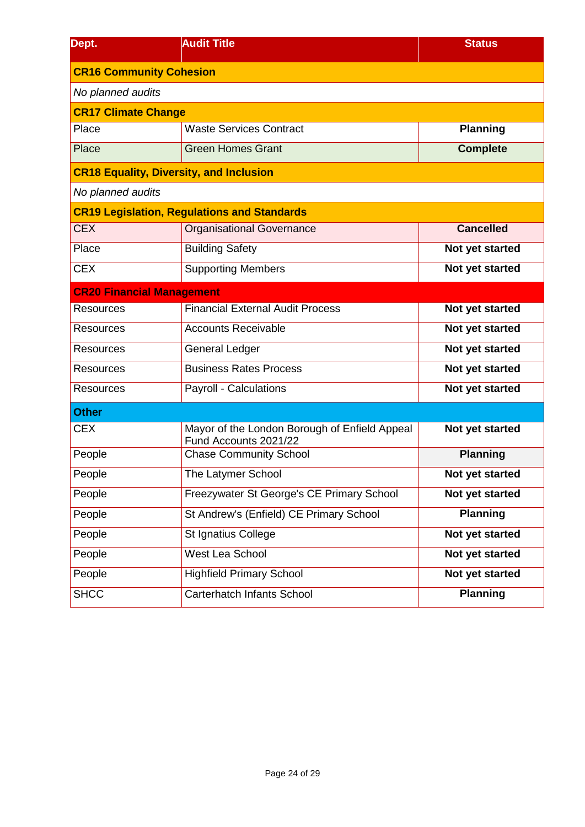| Dept.                                          | <b>Audit Title</b>                                                     | <b>Status</b>    |  |  |  |  |
|------------------------------------------------|------------------------------------------------------------------------|------------------|--|--|--|--|
| <b>CR16 Community Cohesion</b>                 |                                                                        |                  |  |  |  |  |
| No planned audits                              |                                                                        |                  |  |  |  |  |
| <b>CR17 Climate Change</b>                     |                                                                        |                  |  |  |  |  |
| Place                                          | <b>Waste Services Contract</b>                                         | <b>Planning</b>  |  |  |  |  |
| Place                                          | <b>Green Homes Grant</b>                                               | <b>Complete</b>  |  |  |  |  |
| <b>CR18 Equality, Diversity, and Inclusion</b> |                                                                        |                  |  |  |  |  |
| No planned audits                              |                                                                        |                  |  |  |  |  |
|                                                | <b>CR19 Legislation, Regulations and Standards</b>                     |                  |  |  |  |  |
| <b>CEX</b>                                     | <b>Organisational Governance</b>                                       | <b>Cancelled</b> |  |  |  |  |
| Place                                          | <b>Building Safety</b>                                                 | Not yet started  |  |  |  |  |
| <b>CEX</b>                                     | <b>Supporting Members</b>                                              | Not yet started  |  |  |  |  |
| <b>CR20 Financial Management</b>               |                                                                        |                  |  |  |  |  |
| <b>Resources</b>                               | <b>Financial External Audit Process</b>                                | Not yet started  |  |  |  |  |
| <b>Resources</b>                               | <b>Accounts Receivable</b>                                             | Not yet started  |  |  |  |  |
| <b>Resources</b>                               | General Ledger                                                         | Not yet started  |  |  |  |  |
| <b>Resources</b>                               | <b>Business Rates Process</b>                                          | Not yet started  |  |  |  |  |
| <b>Resources</b>                               | Payroll - Calculations                                                 | Not yet started  |  |  |  |  |
| <b>Other</b>                                   |                                                                        |                  |  |  |  |  |
| <b>CEX</b>                                     | Mayor of the London Borough of Enfield Appeal<br>Fund Accounts 2021/22 | Not yet started  |  |  |  |  |
| People                                         | <b>Chase Community School</b>                                          | <b>Planning</b>  |  |  |  |  |
| People                                         | The Latymer School                                                     | Not yet started  |  |  |  |  |
| People                                         | Freezywater St George's CE Primary School                              | Not yet started  |  |  |  |  |
| People                                         | St Andrew's (Enfield) CE Primary School                                | <b>Planning</b>  |  |  |  |  |
| People                                         | St Ignatius College                                                    | Not yet started  |  |  |  |  |
| People                                         | West Lea School                                                        | Not yet started  |  |  |  |  |
| People                                         | <b>Highfield Primary School</b>                                        | Not yet started  |  |  |  |  |
| <b>SHCC</b>                                    | Carterhatch Infants School                                             | <b>Planning</b>  |  |  |  |  |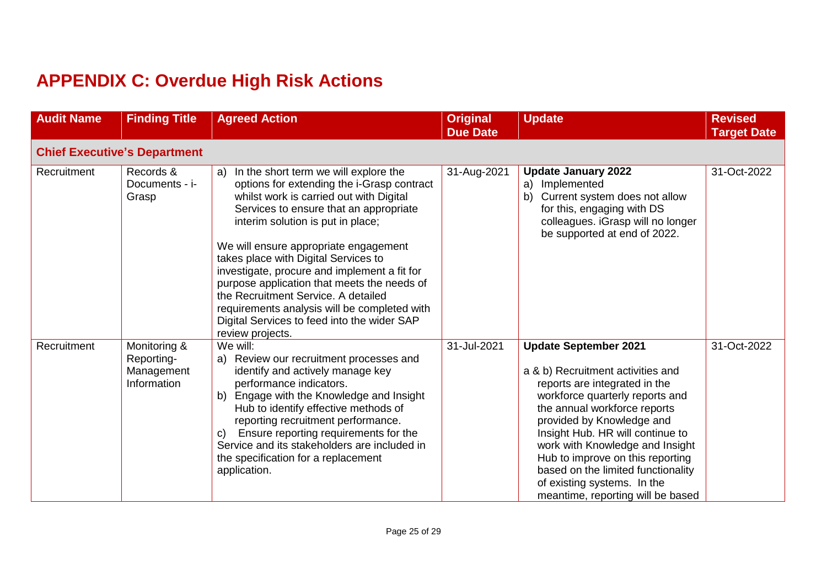# **APPENDIX C: Overdue High Risk Actions**

| <b>Audit Name</b> | <b>Finding Title</b>                                    | <b>Agreed Action</b>                                                                                                                                                                                                                                                                                                                                                                                                                                                                                                                                       | <b>Original</b><br><b>Due Date</b> | <b>Update</b>                                                                                                                                                                                                                                                                                                                                                                                                           | <b>Revised</b><br><b>Target Date</b> |
|-------------------|---------------------------------------------------------|------------------------------------------------------------------------------------------------------------------------------------------------------------------------------------------------------------------------------------------------------------------------------------------------------------------------------------------------------------------------------------------------------------------------------------------------------------------------------------------------------------------------------------------------------------|------------------------------------|-------------------------------------------------------------------------------------------------------------------------------------------------------------------------------------------------------------------------------------------------------------------------------------------------------------------------------------------------------------------------------------------------------------------------|--------------------------------------|
|                   | <b>Chief Executive's Department</b>                     |                                                                                                                                                                                                                                                                                                                                                                                                                                                                                                                                                            |                                    |                                                                                                                                                                                                                                                                                                                                                                                                                         |                                      |
| Recruitment       | Records &<br>Documents - i-<br>Grasp                    | a) In the short term we will explore the<br>options for extending the i-Grasp contract<br>whilst work is carried out with Digital<br>Services to ensure that an appropriate<br>interim solution is put in place;<br>We will ensure appropriate engagement<br>takes place with Digital Services to<br>investigate, procure and implement a fit for<br>purpose application that meets the needs of<br>the Recruitment Service. A detailed<br>requirements analysis will be completed with<br>Digital Services to feed into the wider SAP<br>review projects. | 31-Aug-2021                        | <b>Update January 2022</b><br>Implemented<br>a)<br>Current system does not allow<br>b)<br>for this, engaging with DS<br>colleagues. iGrasp will no longer<br>be supported at end of 2022.                                                                                                                                                                                                                               | 31-Oct-2022                          |
| Recruitment       | Monitoring &<br>Reporting-<br>Management<br>Information | We will:<br>a) Review our recruitment processes and<br>identify and actively manage key<br>performance indicators.<br>b) Engage with the Knowledge and Insight<br>Hub to identify effective methods of<br>reporting recruitment performance.<br>Ensure reporting requirements for the<br>C)<br>Service and its stakeholders are included in<br>the specification for a replacement<br>application.                                                                                                                                                         | 31-Jul-2021                        | <b>Update September 2021</b><br>a & b) Recruitment activities and<br>reports are integrated in the<br>workforce quarterly reports and<br>the annual workforce reports<br>provided by Knowledge and<br>Insight Hub. HR will continue to<br>work with Knowledge and Insight<br>Hub to improve on this reporting<br>based on the limited functionality<br>of existing systems. In the<br>meantime, reporting will be based | 31-Oct-2022                          |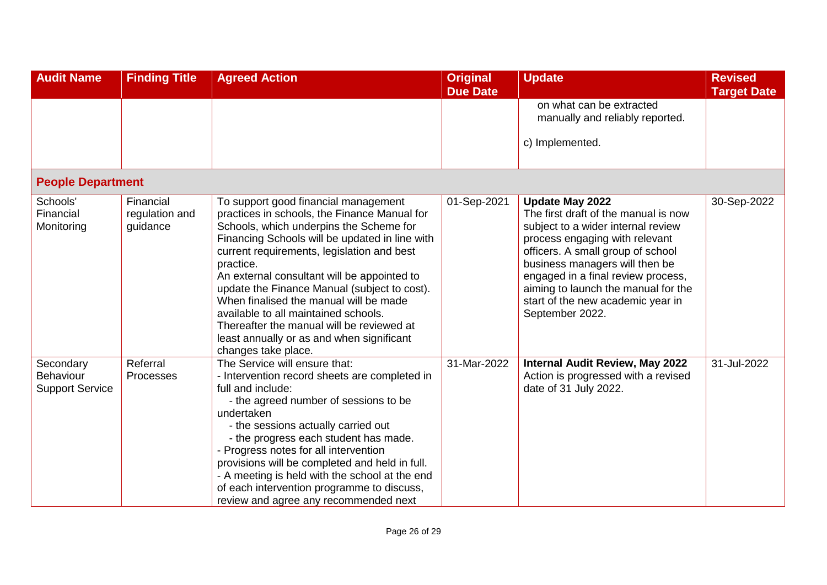| <b>Audit Name</b>                                       | <b>Finding Title</b>                    | <b>Agreed Action</b>                                                                                                                                                                                                                                                                                                                                                                                                                                                                                                                           | <b>Original</b><br><b>Due Date</b> | <b>Update</b>                                                                                                                                                                                                                                                                                                                                      | <b>Revised</b><br><b>Target Date</b> |
|---------------------------------------------------------|-----------------------------------------|------------------------------------------------------------------------------------------------------------------------------------------------------------------------------------------------------------------------------------------------------------------------------------------------------------------------------------------------------------------------------------------------------------------------------------------------------------------------------------------------------------------------------------------------|------------------------------------|----------------------------------------------------------------------------------------------------------------------------------------------------------------------------------------------------------------------------------------------------------------------------------------------------------------------------------------------------|--------------------------------------|
|                                                         |                                         |                                                                                                                                                                                                                                                                                                                                                                                                                                                                                                                                                |                                    | on what can be extracted<br>manually and reliably reported.                                                                                                                                                                                                                                                                                        |                                      |
|                                                         |                                         |                                                                                                                                                                                                                                                                                                                                                                                                                                                                                                                                                |                                    | c) Implemented.                                                                                                                                                                                                                                                                                                                                    |                                      |
| <b>People Department</b>                                |                                         |                                                                                                                                                                                                                                                                                                                                                                                                                                                                                                                                                |                                    |                                                                                                                                                                                                                                                                                                                                                    |                                      |
| Schools'<br>Financial<br>Monitoring                     | Financial<br>regulation and<br>guidance | To support good financial management<br>practices in schools, the Finance Manual for<br>Schools, which underpins the Scheme for<br>Financing Schools will be updated in line with<br>current requirements, legislation and best<br>practice.<br>An external consultant will be appointed to<br>update the Finance Manual (subject to cost).<br>When finalised the manual will be made<br>available to all maintained schools.<br>Thereafter the manual will be reviewed at<br>least annually or as and when significant<br>changes take place. | 01-Sep-2021                        | <b>Update May 2022</b><br>The first draft of the manual is now<br>subject to a wider internal review<br>process engaging with relevant<br>officers. A small group of school<br>business managers will then be<br>engaged in a final review process,<br>aiming to launch the manual for the<br>start of the new academic year in<br>September 2022. | 30-Sep-2022                          |
| Secondary<br><b>Behaviour</b><br><b>Support Service</b> | Referral<br>Processes                   | The Service will ensure that:<br>- Intervention record sheets are completed in<br>full and include:<br>- the agreed number of sessions to be<br>undertaken<br>- the sessions actually carried out<br>- the progress each student has made.<br>- Progress notes for all intervention<br>provisions will be completed and held in full.<br>- A meeting is held with the school at the end<br>of each intervention programme to discuss,<br>review and agree any recommended next                                                                 | 31-Mar-2022                        | <b>Internal Audit Review, May 2022</b><br>Action is progressed with a revised<br>date of 31 July 2022.                                                                                                                                                                                                                                             | 31-Jul-2022                          |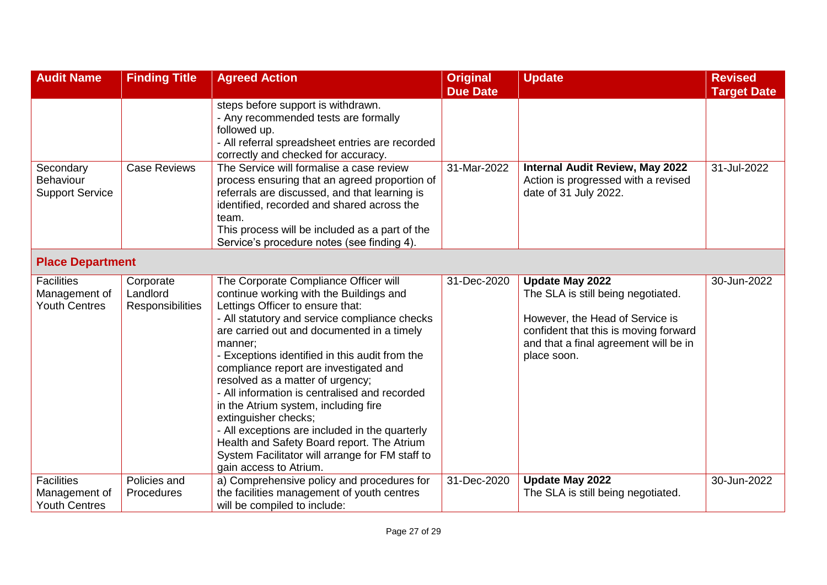| <b>Audit Name</b>                                          | <b>Finding Title</b>                      | <b>Agreed Action</b>                                                                                                                                                                                                                                                                                                                                                                                                                                                                                                                                                                                                                                         | <b>Original</b><br><b>Due Date</b> | <b>Update</b>                                                                                                                                                                                    | <b>Revised</b><br><b>Target Date</b> |
|------------------------------------------------------------|-------------------------------------------|--------------------------------------------------------------------------------------------------------------------------------------------------------------------------------------------------------------------------------------------------------------------------------------------------------------------------------------------------------------------------------------------------------------------------------------------------------------------------------------------------------------------------------------------------------------------------------------------------------------------------------------------------------------|------------------------------------|--------------------------------------------------------------------------------------------------------------------------------------------------------------------------------------------------|--------------------------------------|
|                                                            |                                           | steps before support is withdrawn.<br>- Any recommended tests are formally<br>followed up.<br>- All referral spreadsheet entries are recorded<br>correctly and checked for accuracy.                                                                                                                                                                                                                                                                                                                                                                                                                                                                         |                                    |                                                                                                                                                                                                  |                                      |
| Secondary<br><b>Behaviour</b><br><b>Support Service</b>    | <b>Case Reviews</b>                       | The Service will formalise a case review<br>process ensuring that an agreed proportion of<br>referrals are discussed, and that learning is<br>identified, recorded and shared across the<br>team.<br>This process will be included as a part of the<br>Service's procedure notes (see finding 4).                                                                                                                                                                                                                                                                                                                                                            | 31-Mar-2022                        | <b>Internal Audit Review, May 2022</b><br>Action is progressed with a revised<br>date of 31 July 2022.                                                                                           | 31-Jul-2022                          |
| <b>Place Department</b>                                    |                                           |                                                                                                                                                                                                                                                                                                                                                                                                                                                                                                                                                                                                                                                              |                                    |                                                                                                                                                                                                  |                                      |
| <b>Facilities</b><br>Management of<br><b>Youth Centres</b> | Corporate<br>Landlord<br>Responsibilities | The Corporate Compliance Officer will<br>continue working with the Buildings and<br>Lettings Officer to ensure that:<br>- All statutory and service compliance checks<br>are carried out and documented in a timely<br>manner;<br>- Exceptions identified in this audit from the<br>compliance report are investigated and<br>resolved as a matter of urgency;<br>- All information is centralised and recorded<br>in the Atrium system, including fire<br>extinguisher checks;<br>- All exceptions are included in the quarterly<br>Health and Safety Board report. The Atrium<br>System Facilitator will arrange for FM staff to<br>gain access to Atrium. | 31-Dec-2020                        | <b>Update May 2022</b><br>The SLA is still being negotiated.<br>However, the Head of Service is<br>confident that this is moving forward<br>and that a final agreement will be in<br>place soon. | 30-Jun-2022                          |
| <b>Facilities</b><br>Management of<br><b>Youth Centres</b> | Policies and<br>Procedures                | a) Comprehensive policy and procedures for<br>the facilities management of youth centres<br>will be compiled to include:                                                                                                                                                                                                                                                                                                                                                                                                                                                                                                                                     | 31-Dec-2020                        | <b>Update May 2022</b><br>The SLA is still being negotiated.                                                                                                                                     | 30-Jun-2022                          |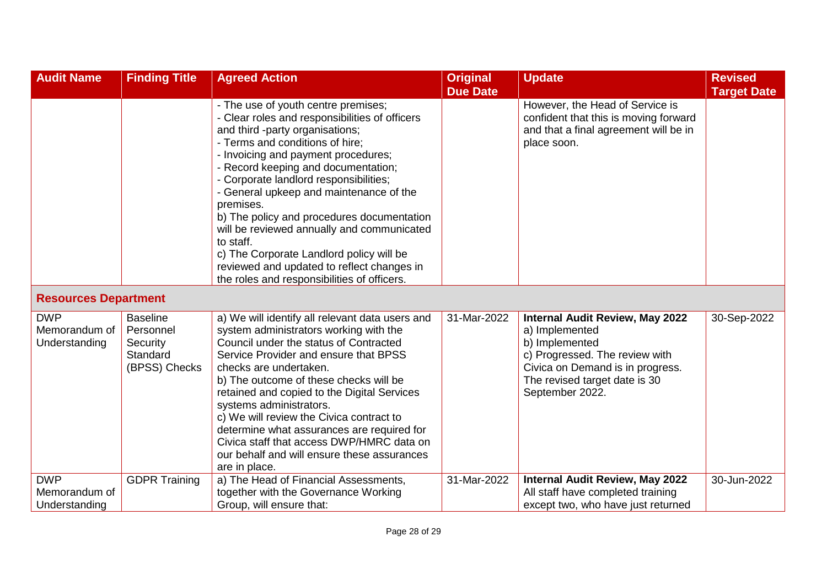| <b>Audit Name</b>                            | <b>Finding Title</b>                                                  | <b>Agreed Action</b>                                                                                                                                                                                                                                                                                                                                                                                                                                                                                                                           | <b>Original</b> | <b>Update</b>                                                                                                                                                                                        | <b>Revised</b>     |
|----------------------------------------------|-----------------------------------------------------------------------|------------------------------------------------------------------------------------------------------------------------------------------------------------------------------------------------------------------------------------------------------------------------------------------------------------------------------------------------------------------------------------------------------------------------------------------------------------------------------------------------------------------------------------------------|-----------------|------------------------------------------------------------------------------------------------------------------------------------------------------------------------------------------------------|--------------------|
|                                              |                                                                       |                                                                                                                                                                                                                                                                                                                                                                                                                                                                                                                                                | <b>Due Date</b> |                                                                                                                                                                                                      | <b>Target Date</b> |
|                                              |                                                                       | - The use of youth centre premises;<br>- Clear roles and responsibilities of officers<br>and third -party organisations;<br>- Terms and conditions of hire;<br>- Invoicing and payment procedures;<br>- Record keeping and documentation;<br>- Corporate landlord responsibilities;<br>- General upkeep and maintenance of the<br>premises.<br>b) The policy and procedures documentation<br>will be reviewed annually and communicated<br>to staff.<br>c) The Corporate Landlord policy will be<br>reviewed and updated to reflect changes in |                 | However, the Head of Service is<br>confident that this is moving forward<br>and that a final agreement will be in<br>place soon.                                                                     |                    |
|                                              |                                                                       | the roles and responsibilities of officers.                                                                                                                                                                                                                                                                                                                                                                                                                                                                                                    |                 |                                                                                                                                                                                                      |                    |
| <b>Resources Department</b>                  |                                                                       |                                                                                                                                                                                                                                                                                                                                                                                                                                                                                                                                                |                 |                                                                                                                                                                                                      |                    |
| <b>DWP</b><br>Memorandum of<br>Understanding | <b>Baseline</b><br>Personnel<br>Security<br>Standard<br>(BPSS) Checks | a) We will identify all relevant data users and<br>system administrators working with the<br>Council under the status of Contracted<br>Service Provider and ensure that BPSS<br>checks are undertaken.<br>b) The outcome of these checks will be<br>retained and copied to the Digital Services<br>systems administrators.<br>c) We will review the Civica contract to<br>determine what assurances are required for<br>Civica staff that access DWP/HMRC data on<br>our behalf and will ensure these assurances<br>are in place.              | 31-Mar-2022     | <b>Internal Audit Review, May 2022</b><br>a) Implemented<br>b) Implemented<br>c) Progressed. The review with<br>Civica on Demand is in progress.<br>The revised target date is 30<br>September 2022. | 30-Sep-2022        |
| <b>DWP</b>                                   | <b>GDPR Training</b>                                                  | a) The Head of Financial Assessments,                                                                                                                                                                                                                                                                                                                                                                                                                                                                                                          | 31-Mar-2022     | <b>Internal Audit Review, May 2022</b>                                                                                                                                                               | 30-Jun-2022        |
| Memorandum of<br>Understanding               |                                                                       | together with the Governance Working<br>Group, will ensure that:                                                                                                                                                                                                                                                                                                                                                                                                                                                                               |                 | All staff have completed training<br>except two, who have just returned                                                                                                                              |                    |